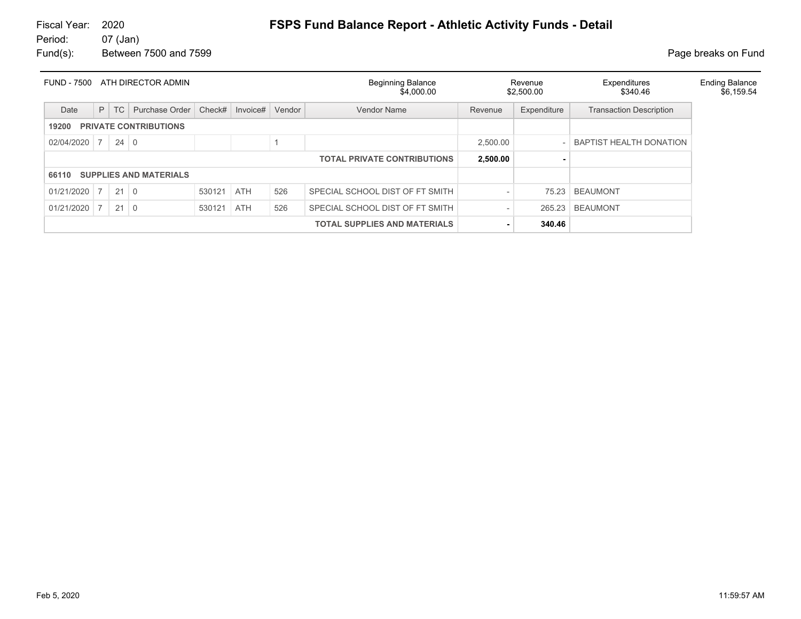# Fiscal Year: 2020 **FSPS Fund Balance Report - Athletic Activity Funds - Detail**<br>Period: 07 (Jan)

07 (Jan) Fund(s): Between 7500 and 7599 **Page breaks** on Fund

|            |                |             | FUND - 7500 ATH DIRECTOR ADMIN |        |            |        | <b>Beginning Balance</b><br>\$4,000.00 |          | Revenue<br>\$2,500.00 | Expenditures<br>\$340.46       | <b>Ending Balance</b><br>\$6,159.54 |
|------------|----------------|-------------|--------------------------------|--------|------------|--------|----------------------------------------|----------|-----------------------|--------------------------------|-------------------------------------|
| Date       | P              | TC          | Purchase Order                 | Check# | Invoice#   | Vendor | <b>Vendor Name</b>                     | Revenue  | Expenditure           | <b>Transaction Description</b> |                                     |
| 19200      |                |             | <b>PRIVATE CONTRIBUTIONS</b>   |        |            |        |                                        |          |                       |                                |                                     |
| 02/04/2020 | $\overline{7}$ | $24 \mid 0$ |                                |        |            |        |                                        | 2,500.00 |                       | <b>BAPTIST HEALTH DONATION</b> |                                     |
|            |                |             |                                |        |            |        | <b>TOTAL PRIVATE CONTRIBUTIONS</b>     | 2,500.00 |                       |                                |                                     |
| 66110      |                |             | <b>SUPPLIES AND MATERIALS</b>  |        |            |        |                                        |          |                       |                                |                                     |
| 01/21/2020 | 7 <sup>1</sup> | $21$ 0      |                                | 530121 | <b>ATH</b> | 526    | SPECIAL SCHOOL DIST OF FT SMITH        |          | 75.23                 | <b>BEAUMONT</b>                |                                     |
| 01/21/2020 |                | $21 \mid 0$ |                                | 530121 | <b>ATH</b> | 526    | SPECIAL SCHOOL DIST OF FT SMITH        |          | 265.23                | <b>BEAUMONT</b>                |                                     |
|            |                |             |                                |        |            |        | <b>TOTAL SUPPLIES AND MATERIALS</b>    |          | 340.46                |                                |                                     |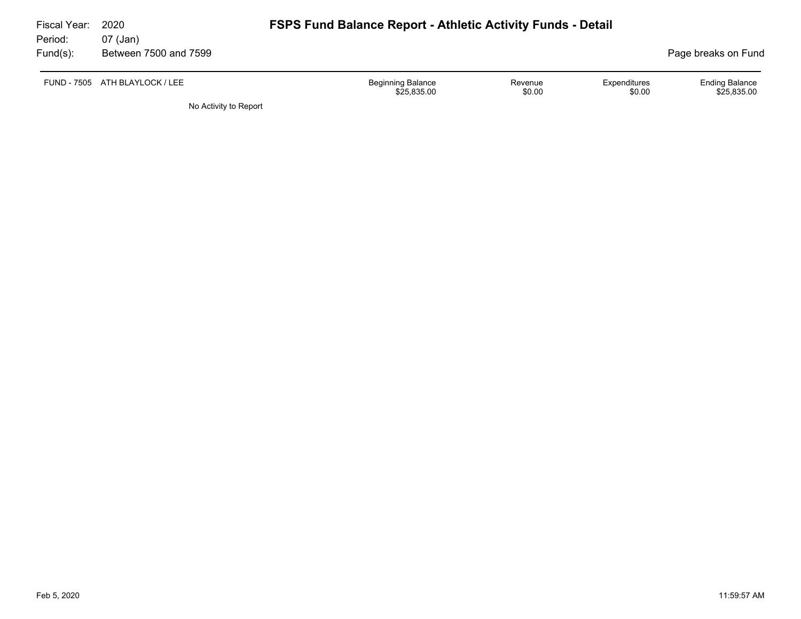| Fiscal Year:<br>Period: | 2020<br>07 (Jan)               | <b>FSPS Fund Balance Report - Athletic Activity Funds - Detail</b> |                   |                        |                                      |
|-------------------------|--------------------------------|--------------------------------------------------------------------|-------------------|------------------------|--------------------------------------|
| Fund(s):                | Between 7500 and 7599          |                                                                    |                   |                        | Page breaks on Fund                  |
|                         | FUND - 7505 ATH BLAYLOCK / LEE | <b>Beginning Balance</b><br>\$25,835.00                            | Revenue<br>\$0.00 | Expenditures<br>\$0.00 | <b>Ending Balance</b><br>\$25,835.00 |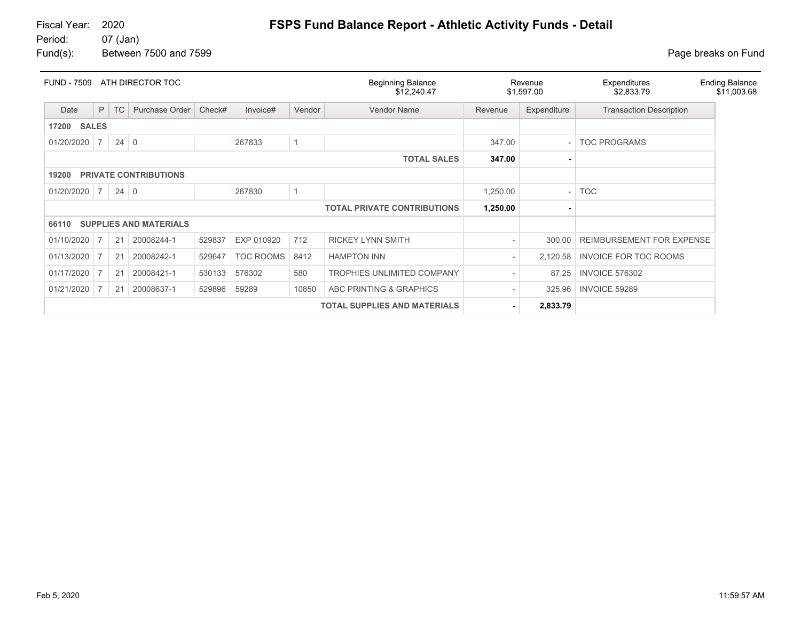Fiscal Year: 2020 **FSPS Fund Balance Report - Athletic Activity Funds - Detail**<br>Period: 07 (Jan)

07 (Jan) Fund(s): Between 7500 and 7599 **Page breaks** on Fund

| <b>FUND - 7509</b>    |                |             | ATH DIRECTOR TOC              |        |                  |        | <b>Beginning Balance</b><br>\$12,240.47 |                          | Revenue<br>\$1,597.00 | Expenditures<br>\$2,833.79     | <b>Ending Balance</b><br>\$11,003.68 |
|-----------------------|----------------|-------------|-------------------------------|--------|------------------|--------|-----------------------------------------|--------------------------|-----------------------|--------------------------------|--------------------------------------|
| Date                  | P              | <b>TC</b>   | Purchase Order                | Check# | Invoice#         | Vendor | <b>Vendor Name</b>                      | Revenue                  | Expenditure           | <b>Transaction Description</b> |                                      |
| <b>SALES</b><br>17200 |                |             |                               |        |                  |        |                                         |                          |                       |                                |                                      |
| 01/20/2020            | $\overline{7}$ | $24 \mid 0$ |                               |        | 267833           |        |                                         | 347.00                   |                       | <b>TOC PROGRAMS</b>            |                                      |
|                       |                |             |                               |        |                  |        | <b>TOTAL SALES</b>                      | 347.00                   |                       |                                |                                      |
| 19200                 |                |             | <b>PRIVATE CONTRIBUTIONS</b>  |        |                  |        |                                         |                          |                       |                                |                                      |
| 01/20/2020            | $\overline{7}$ | $24 \mid 0$ |                               |        | 267830           |        |                                         | 1,250.00                 |                       | <b>TOC</b>                     |                                      |
|                       |                |             |                               |        |                  |        | <b>TOTAL PRIVATE CONTRIBUTIONS</b>      | 1,250.00                 |                       |                                |                                      |
| 66110                 |                |             | <b>SUPPLIES AND MATERIALS</b> |        |                  |        |                                         |                          |                       |                                |                                      |
| 01/10/2020            | 7              | 21          | 20008244-1                    | 529837 | EXP 010920       | 712    | <b>RICKEY LYNN SMITH</b>                | $\overline{\phantom{a}}$ | 300.00                | REIMBURSEMENT FOR EXPENSE      |                                      |
| 01/13/2020            | 7              | 21          | 20008242-1                    | 529647 | <b>TOC ROOMS</b> | 8412   | <b>HAMPTON INN</b>                      | $\overline{\phantom{a}}$ | 2,120.58              | <b>INVOICE FOR TOC ROOMS</b>   |                                      |
| 01/17/2020            |                | 21          | 20008421-1                    | 530133 | 576302           | 580    | <b>TROPHIES UNLIMITED COMPANY</b>       | $\overline{\phantom{a}}$ | 87.25                 | <b>INVOICE 576302</b>          |                                      |
| 01/21/2020            | 7              | 21          | 20008637-1                    | 529896 | 59289            | 10850  | ABC PRINTING & GRAPHICS                 | $\overline{\phantom{a}}$ | 325.96                | <b>INVOICE 59289</b>           |                                      |
|                       |                |             |                               |        |                  |        | <b>TOTAL SUPPLIES AND MATERIALS</b>     | ۰.                       | 2,833.79              |                                |                                      |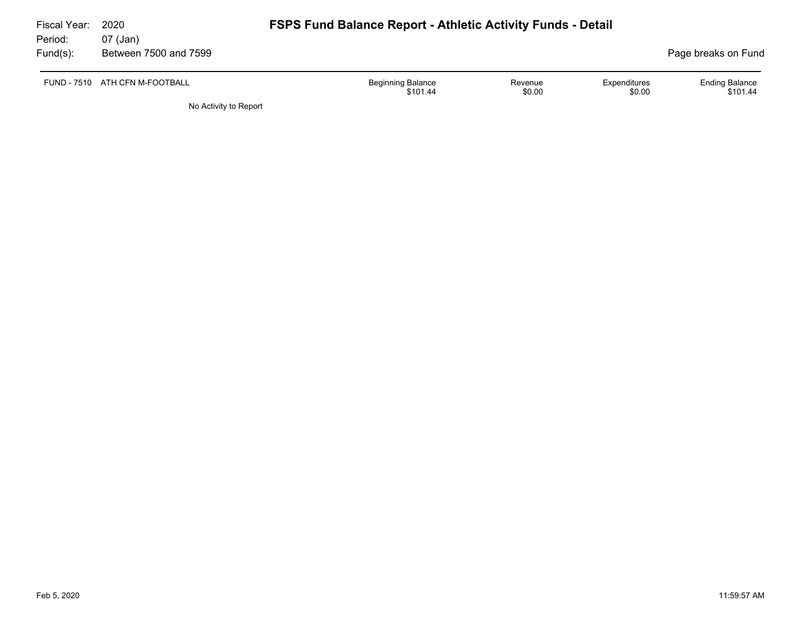| Fiscal Year: | 2020                           | <b>FSPS Fund Balance Report - Athletic Activity Funds - Detail</b> |                                   |                                             |  |  |  |  |
|--------------|--------------------------------|--------------------------------------------------------------------|-----------------------------------|---------------------------------------------|--|--|--|--|
| Period:      | 07 (Jan)                       |                                                                    |                                   |                                             |  |  |  |  |
| $Fund(s)$ :  | Between 7500 and 7599          |                                                                    |                                   | Page breaks on Fund                         |  |  |  |  |
|              | FUND - 7510 ATH CFN M-FOOTBALL | <b>Beginning Balance</b><br>\$101.44                               | Expenditures<br>Revenue<br>\$0.00 | <b>Ending Balance</b><br>\$0.00<br>\$101.44 |  |  |  |  |
|              | No Activity to Report          |                                                                    |                                   |                                             |  |  |  |  |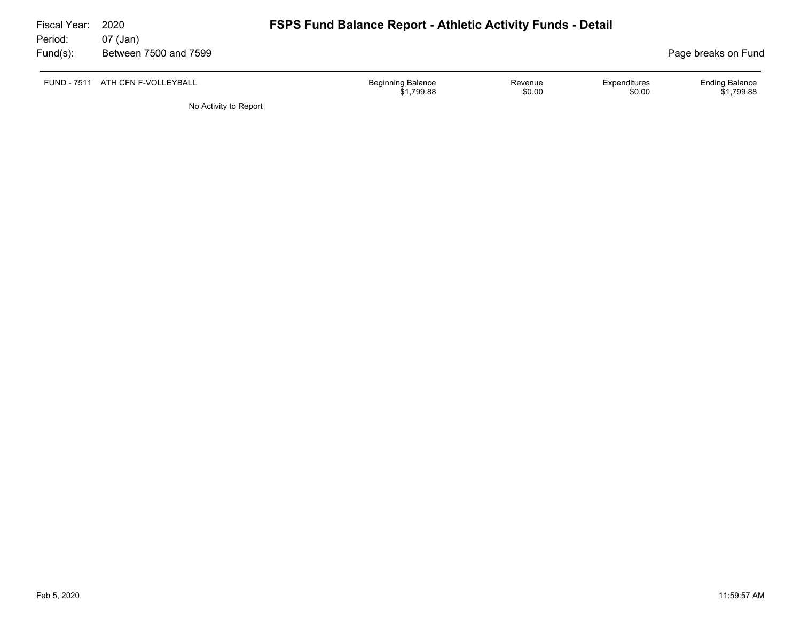| Fiscal Year:<br>Period: | 2020<br>07 (Jan)                 | <b>FSPS Fund Balance Report - Athletic Activity Funds - Detail</b> |                   |                        |                                     |
|-------------------------|----------------------------------|--------------------------------------------------------------------|-------------------|------------------------|-------------------------------------|
| Fund(s):                | Between 7500 and 7599            |                                                                    |                   |                        | Page breaks on Fund                 |
|                         | FUND - 7511 ATH CFN F-VOLLEYBALL | <b>Beginning Balance</b><br>\$1.799.88                             | Revenue<br>\$0.00 | Expenditures<br>\$0.00 | <b>Ending Balance</b><br>\$1.799.88 |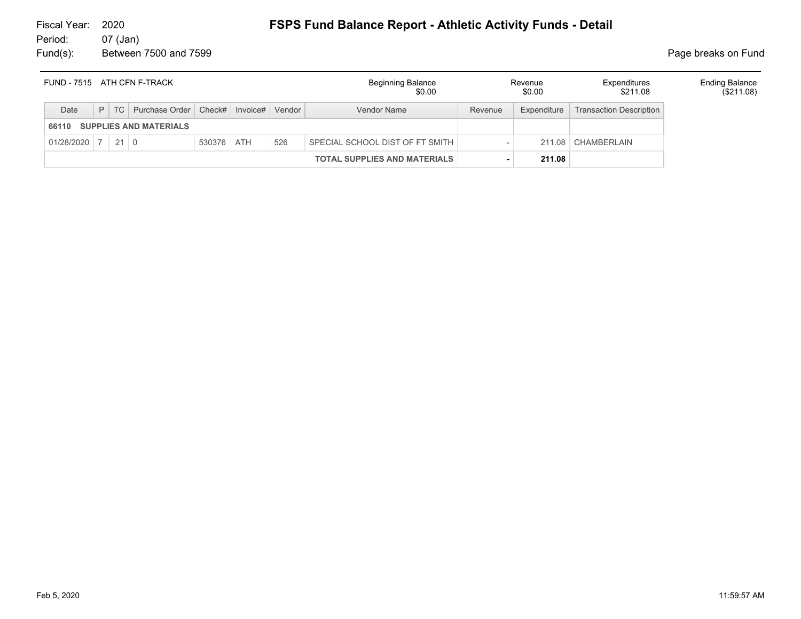#### 07 (Jan) Fund(s): Between 7500 and 7599 **Page breaks** on Fund

# Fiscal Year: 2020 **FSPS Fund Balance Report - Athletic Activity Funds - Detail**

| FUND - 7515 ATH CFN F-TRACK |  |                                             |            |        | <b>Beginning Balance</b><br>\$0.00  |         | Revenue<br>\$0.00 | Expenditures<br>\$211.08       | <b>Ending Balance</b><br>(\$211.08) |
|-----------------------------|--|---------------------------------------------|------------|--------|-------------------------------------|---------|-------------------|--------------------------------|-------------------------------------|
| Date                        |  | P   TC   Purchase Order   Check#   Invoice# |            | Vendor | Vendor Name                         | Revenue | Expenditure       | <b>Transaction Description</b> |                                     |
| 66110                       |  | <b>SUPPLIES AND MATERIALS</b>               |            |        |                                     |         |                   |                                |                                     |
| $01/28/2020$ 7 21 0         |  |                                             | 530376 ATH | 526    | SPECIAL SCHOOL DIST OF FT SMITH     |         |                   | 211.08 CHAMBERLAIN             |                                     |
|                             |  |                                             |            |        | <b>TOTAL SUPPLIES AND MATERIALS</b> |         | 211.08            |                                |                                     |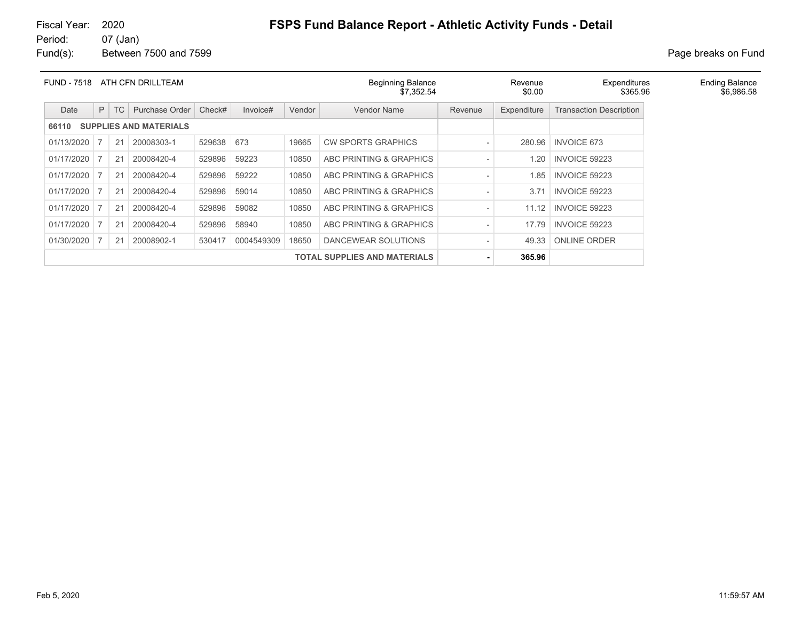#### 07 (Jan) Fund(s): Between 7500 and 7599 **Page breaks** on Fund

| <b>FUND - 7518</b> |   |    | ATH CFN DRILLTEAM             |            |            |        | <b>Beginning Balance</b><br>\$7,352.54 |         | Revenue<br>\$0.00 | Expenditures<br>\$365.96       |
|--------------------|---|----|-------------------------------|------------|------------|--------|----------------------------------------|---------|-------------------|--------------------------------|
| Date               | P | TC | Purchase Order                | Check#     | Invoice#   | Vendor | Vendor Name                            | Revenue | Expenditure       | <b>Transaction Description</b> |
| 66110              |   |    | <b>SUPPLIES AND MATERIALS</b> |            |            |        |                                        |         |                   |                                |
| 01/13/2020         |   | 21 | 20008303-1                    | 529638 673 |            | 19665  | <b>CW SPORTS GRAPHICS</b>              |         | 280.96            | <b>INVOICE 673</b>             |
| 01/17/2020         |   | 21 | 20008420-4                    | 529896     | 59223      | 10850  | ABC PRINTING & GRAPHICS                |         | .20               | <b>INVOICE 59223</b>           |
| 01/17/2020         |   | 21 | 20008420-4                    | 529896     | 59222      | 10850  | ABC PRINTING & GRAPHICS                |         | 1.85              | <b>INVOICE 59223</b>           |
| 01/17/2020         |   | 21 | 20008420-4                    | 529896     | 59014      | 10850  | ABC PRINTING & GRAPHICS                |         | 3.71              | <b>INVOICE 59223</b>           |
| 01/17/2020         |   | 21 | 20008420-4                    | 529896     | 59082      | 10850  | ABC PRINTING & GRAPHICS                |         | 11.12             | <b>INVOICE 59223</b>           |
| 01/17/2020         |   | 21 | 20008420-4                    | 529896     | 58940      | 10850  | <b>ABC PRINTING &amp; GRAPHICS</b>     |         | 17.79             | <b>INVOICE 59223</b>           |
| 01/30/2020         |   | 21 | 20008902-1                    | 530417     | 0004549309 | 18650  | DANCEWEAR SOLUTIONS                    |         | 49.33             | <b>ONLINE ORDER</b>            |
|                    |   |    |                               |            |            |        | <b>TOTAL SUPPLIES AND MATERIALS</b>    |         | 365.96            |                                |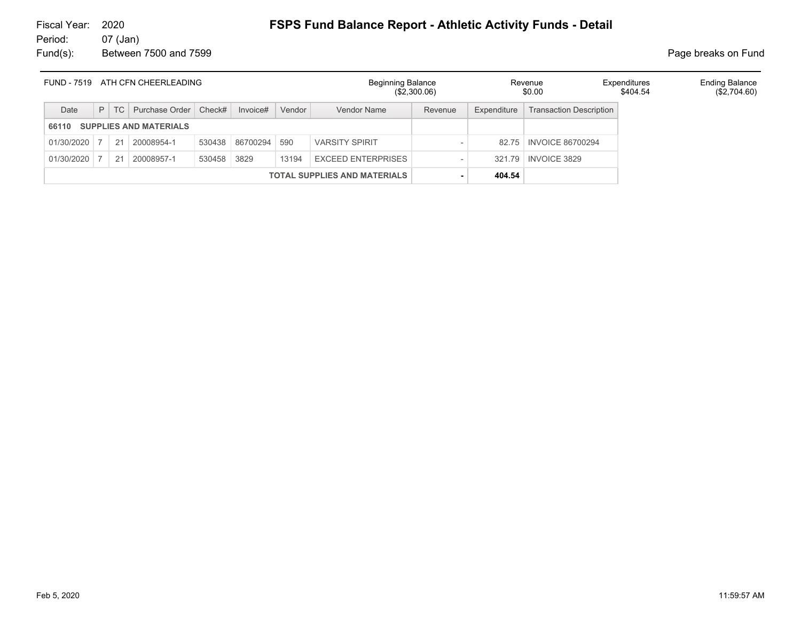# 07 (Jan)

Fund(s): Between 7500 and 7599 **Page breaks** on Fund

| <b>FUND - 7519</b> |   | ATH CFN CHEERLEADING<br>Purchase Order   Check#<br>Invoice#<br>TC<br><b>SUPPLIES AND MATERIALS</b><br>86700294<br>20008954-1<br>530438<br>21<br>530458<br>3829<br>20008957-1<br>21 |  |  |  | <b>Beginning Balance</b><br>$(\$2,300.06)$ |                                     |         | Revenue<br>\$0.00 | Expenditures<br>\$404.54       | <b>Ending Balance</b><br>(\$2,704.60) |  |
|--------------------|---|------------------------------------------------------------------------------------------------------------------------------------------------------------------------------------|--|--|--|--------------------------------------------|-------------------------------------|---------|-------------------|--------------------------------|---------------------------------------|--|
| Date               | P |                                                                                                                                                                                    |  |  |  | Vendor                                     | Vendor Name                         | Revenue | Expenditure       | <b>Transaction Description</b> |                                       |  |
| 66110              |   |                                                                                                                                                                                    |  |  |  |                                            |                                     |         |                   |                                |                                       |  |
| 01/30/2020         |   |                                                                                                                                                                                    |  |  |  | 590                                        | <b>VARSITY SPIRIT</b>               |         |                   | 82.75   INVOICE 86700294       |                                       |  |
| 01/30/2020         |   |                                                                                                                                                                                    |  |  |  | 13194                                      | <b>EXCEED ENTERPRISES</b>           |         | 32179             | <b>INVOICE 3829</b>            |                                       |  |
|                    |   |                                                                                                                                                                                    |  |  |  |                                            | <b>TOTAL SUPPLIES AND MATERIALS</b> |         | 404.54            |                                |                                       |  |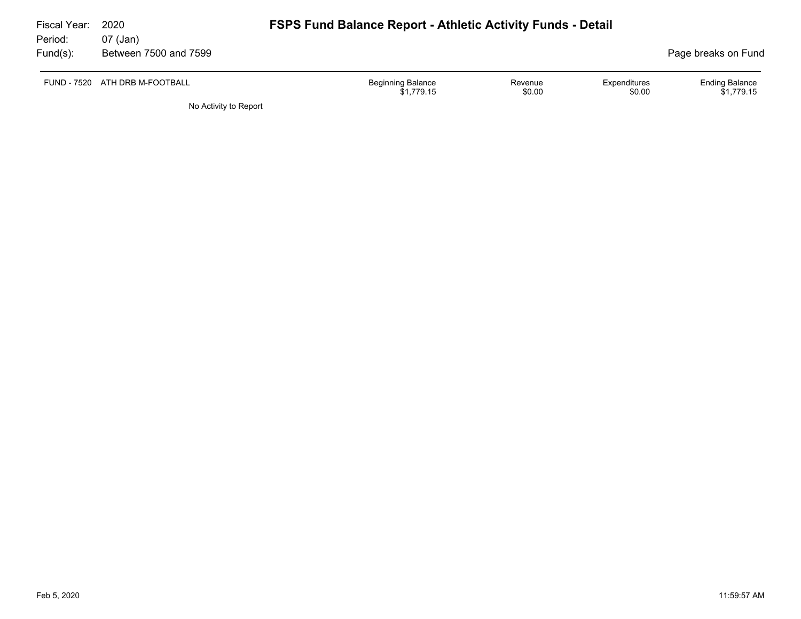| Fiscal Year:<br>Period: | 2020<br>07 (Jan)               | <b>FSPS Fund Balance Report - Athletic Activity Funds - Detail</b> |                   |                        |                                     |
|-------------------------|--------------------------------|--------------------------------------------------------------------|-------------------|------------------------|-------------------------------------|
| $Fund(s)$ :             | Between 7500 and 7599          |                                                                    |                   |                        | Page breaks on Fund                 |
|                         | FUND - 7520 ATH DRB M-FOOTBALL | <b>Beginning Balance</b><br>\$1.779.15                             | Revenue<br>\$0.00 | Expenditures<br>\$0.00 | <b>Ending Balance</b><br>\$1,779.15 |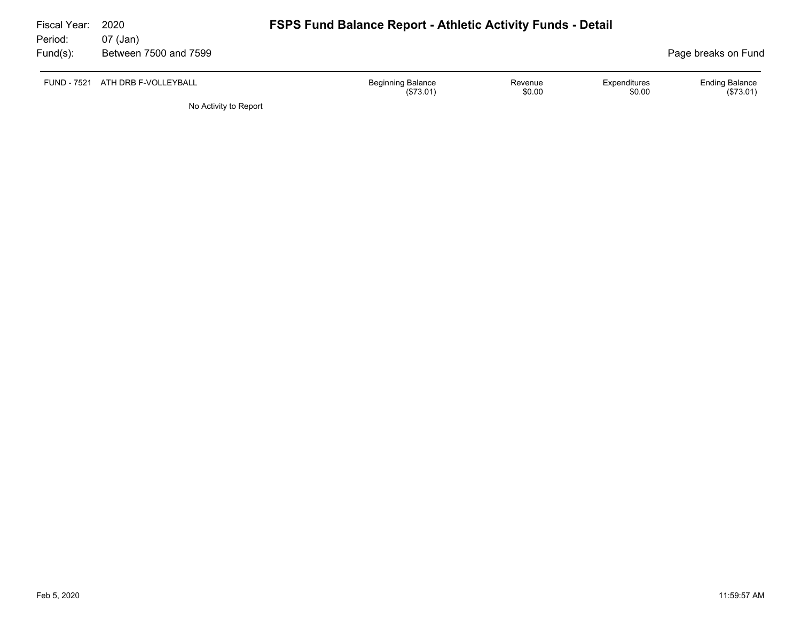| Fiscal Year: | 2020                             | <b>FSPS Fund Balance Report - Athletic Activity Funds - Detail</b> |                   |                        |                                   |
|--------------|----------------------------------|--------------------------------------------------------------------|-------------------|------------------------|-----------------------------------|
| Period:      | 07 (Jan)                         |                                                                    |                   |                        |                                   |
| Fund(s):     | Between 7500 and 7599            |                                                                    |                   |                        | Page breaks on Fund               |
|              | FUND - 7521 ATH DRB F-VOLLEYBALL | <b>Beginning Balance</b><br>(\$73.01)                              | Revenue<br>\$0.00 | Expenditures<br>\$0.00 | <b>Ending Balance</b><br>(S73.01) |
|              | No Activity to Report            |                                                                    |                   |                        |                                   |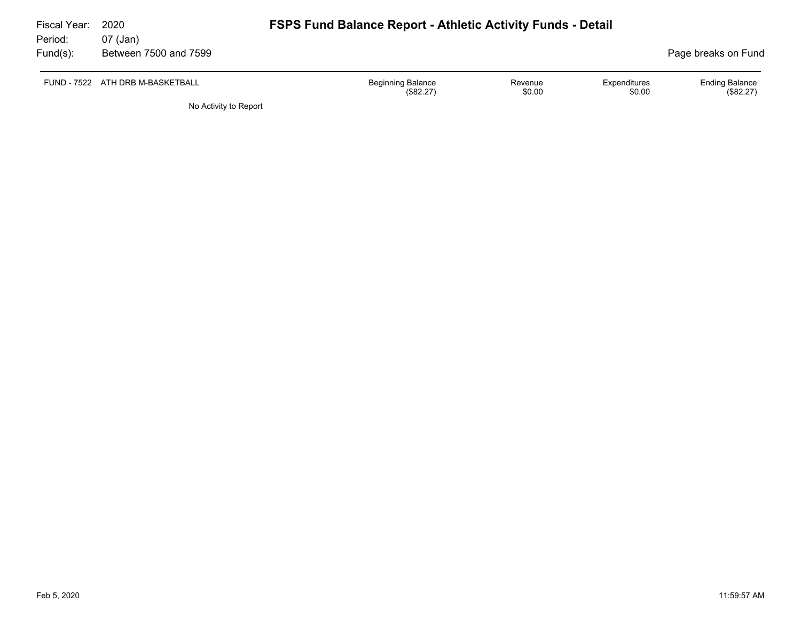| Fiscal Year:<br>Period: | 2020<br>07 (Jan)                 | <b>FSPS Fund Balance Report - Athletic Activity Funds - Detail</b> |                   |                        |                                    |
|-------------------------|----------------------------------|--------------------------------------------------------------------|-------------------|------------------------|------------------------------------|
| $Fund(s)$ :             | Between 7500 and 7599            |                                                                    |                   |                        | Page breaks on Fund                |
|                         | FUND - 7522 ATH DRB M-BASKETBALL | <b>Beginning Balance</b><br>(\$82.27)                              | Revenue<br>\$0.00 | Expenditures<br>\$0.00 | <b>Ending Balance</b><br>(\$82.27) |
|                         | No Activity to Report            |                                                                    |                   |                        |                                    |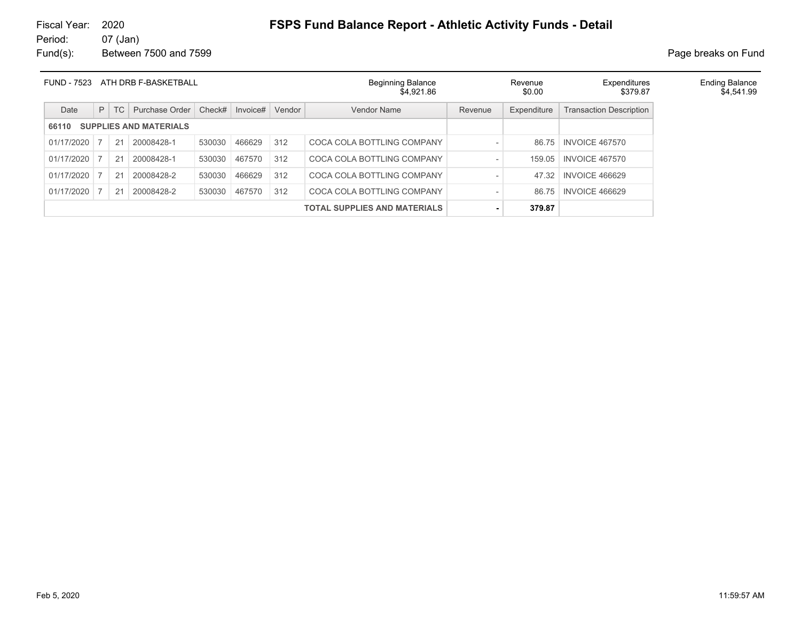# Fiscal Year: 2020 **FSPS Fund Balance Report - Athletic Activity Funds - Detail**<br>Period: 07 (Jan)

07 (Jan) Fund(s): Between 7500 and 7599 **Page breaks** on Fund

| <b>FUND - 7523</b> | ATH DRB F-BASKETBALL |    |                               |        |          |        | <b>Beginning Balance</b><br>\$4.921.86 |         | Revenue<br>\$0.00 | Expenditures<br>\$379.87       | <b>Ending Balance</b><br>\$4,541.99 |
|--------------------|----------------------|----|-------------------------------|--------|----------|--------|----------------------------------------|---------|-------------------|--------------------------------|-------------------------------------|
| Date               | P                    | TC | Purchase Order                | Check# | Invoice# | Vendor | Vendor Name                            | Revenue | Expenditure       | <b>Transaction Description</b> |                                     |
| 66110              |                      |    | <b>SUPPLIES AND MATERIALS</b> |        |          |        |                                        |         |                   |                                |                                     |
| 01/17/2020         |                      | 21 | 20008428-1                    | 530030 | 466629   | 312    | COCA COLA BOTTLING COMPANY             |         | 86.75             | <b>INVOICE 467570</b>          |                                     |
| 01/17/2020         |                      | 21 | 20008428-1                    | 530030 | 467570   | 312    | COCA COLA BOTTLING COMPANY             |         | 159.05            | <b>INVOICE 467570</b>          |                                     |
| 01/17/2020         |                      | 21 | 20008428-2                    | 530030 | 466629   | 312    | COCA COLA BOTTLING COMPANY             |         | 47.32             | <b>INVOICE 466629</b>          |                                     |
| 01/17/2020         |                      | 21 | 20008428-2                    | 530030 | 467570   | 312    | COCA COLA BOTTLING COMPANY             |         | 86.75             | <b>INVOICE 466629</b>          |                                     |
|                    |                      |    |                               |        |          |        | <b>TOTAL SUPPLIES AND MATERIALS</b>    |         | 379.87            |                                |                                     |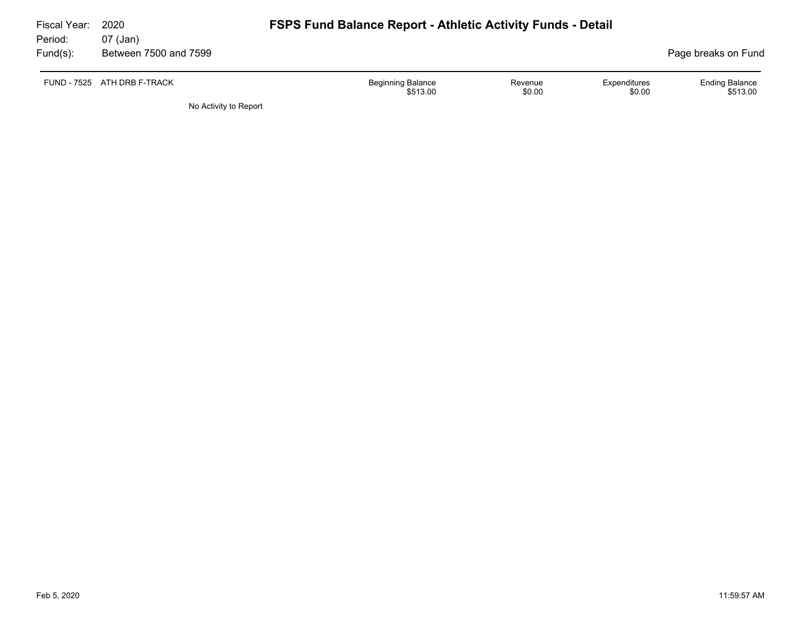| Fiscal Year:<br>Period: | 2020<br>07 (Jan)            | <b>FSPS Fund Balance Report - Athletic Activity Funds - Detail</b>                  |                                   |
|-------------------------|-----------------------------|-------------------------------------------------------------------------------------|-----------------------------------|
| $Fund(s)$ :             | Between 7500 and 7599       |                                                                                     | Page breaks on Fund               |
|                         | FUND - 7525 ATH DRB F-TRACK | <b>Beginning Balance</b><br>Expenditures<br>Revenue<br>\$0.00<br>\$513.00<br>\$0.00 | <b>Ending Balance</b><br>\$513.00 |
|                         | No Activity to Report       |                                                                                     |                                   |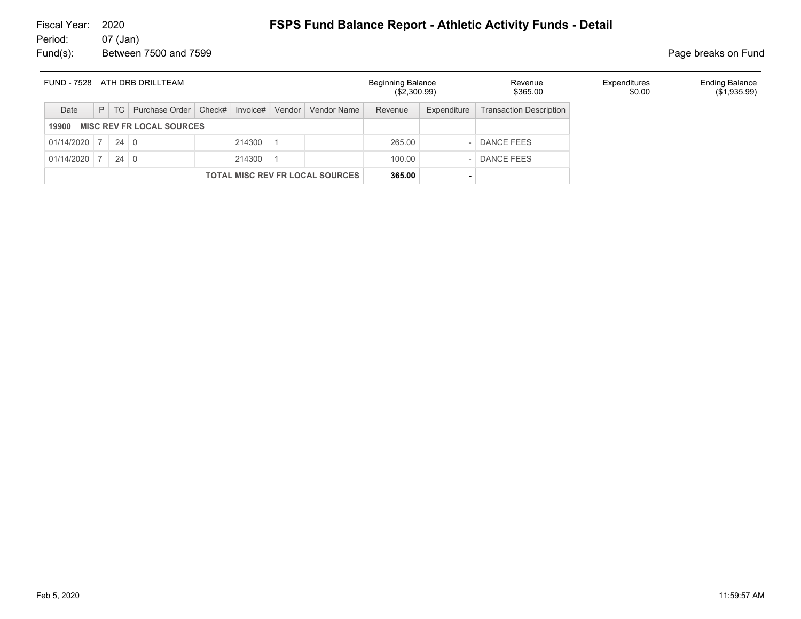# Fiscal Year: 2020 **FSPS Fund Balance Report - Athletic Activity Funds - Detail**<br>Period: 07 (Jan)

07 (Jan) Fund(s): Between 7500 and 7599 **Page breaks** on Fund

| FUND - 7528 |   |             | ATH DRB DRILLTEAM                |          |        |                                        | <b>Beginning Balance</b><br>(\$2,300.99) |             | Revenue<br>\$365.00            | Expenditures<br>\$0.00 | <b>Ending Balance</b><br>$(\$1,935.99)$ |
|-------------|---|-------------|----------------------------------|----------|--------|----------------------------------------|------------------------------------------|-------------|--------------------------------|------------------------|-----------------------------------------|
| Date        | P | TC          | Purchase Order   Check#          | Invoice# | Vendor | Vendor Name                            | Revenue                                  | Expenditure | <b>Transaction Description</b> |                        |                                         |
| 19900       |   |             | <b>MISC REV FR LOCAL SOURCES</b> |          |        |                                        |                                          |             |                                |                        |                                         |
| 01/14/2020  |   | $24 \mid 0$ |                                  | 214300   |        |                                        | 265.00                                   |             | - DANCE FEES                   |                        |                                         |
| 01/14/2020  |   | $24 \mid 0$ |                                  | 214300   |        |                                        | 100.00                                   |             | DANCE FEES                     |                        |                                         |
|             |   |             |                                  |          |        | <b>TOTAL MISC REV FR LOCAL SOURCES</b> | 365.00                                   |             |                                |                        |                                         |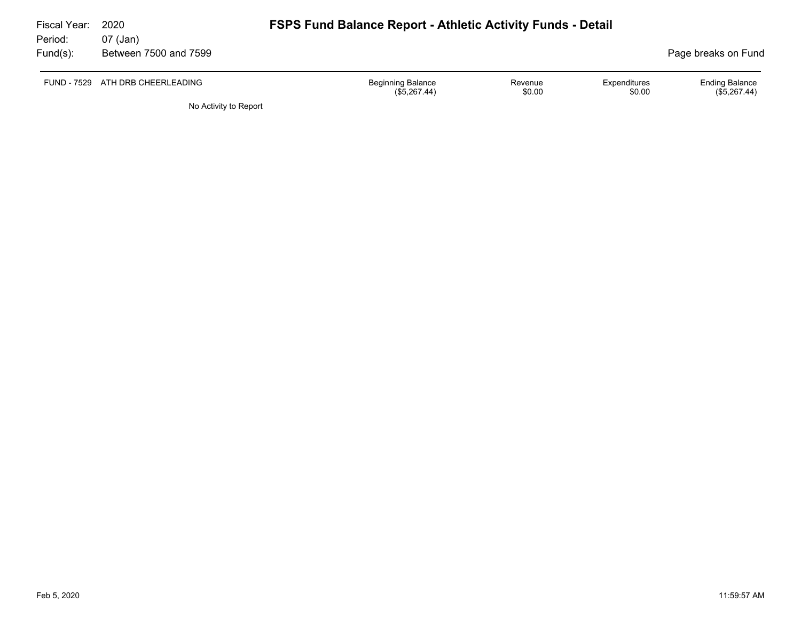| Fiscal Year:<br>Period: | 2020                              | <b>FSPS Fund Balance Report - Athletic Activity Funds - Detail</b> |                   |                        |                                       |
|-------------------------|-----------------------------------|--------------------------------------------------------------------|-------------------|------------------------|---------------------------------------|
| Fund(s):                | 07 (Jan)<br>Between 7500 and 7599 |                                                                    |                   |                        | Page breaks on Fund                   |
|                         | FUND - 7529 ATH DRB CHEERLEADING  | <b>Beginning Balance</b><br>(\$5,267.44)                           | Revenue<br>\$0.00 | Expenditures<br>\$0.00 | <b>Ending Balance</b><br>(\$5,267.44) |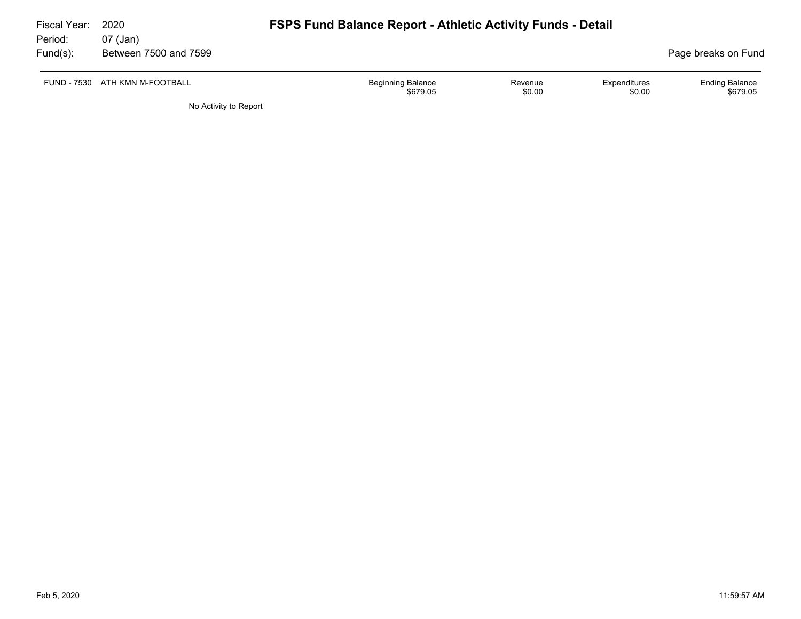| Fiscal Year:<br>Period: | 2020<br>07 (Jan)               | <b>FSPS Fund Balance Report - Athletic Activity Funds - Detail</b> |                   |                        |                                   |
|-------------------------|--------------------------------|--------------------------------------------------------------------|-------------------|------------------------|-----------------------------------|
| $Fund(s)$ :             | Between 7500 and 7599          |                                                                    |                   |                        | Page breaks on Fund               |
|                         | FUND - 7530 ATH KMN M-FOOTBALL | <b>Beginning Balance</b><br>\$679.05                               | Revenue<br>\$0.00 | Expenditures<br>\$0.00 | <b>Ending Balance</b><br>\$679.05 |
|                         | No Activity to Report          |                                                                    |                   |                        |                                   |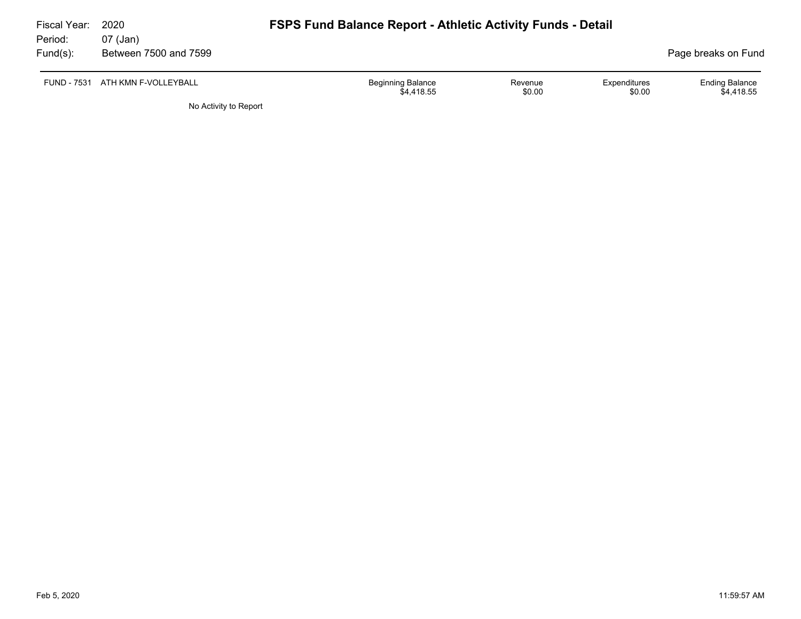| Fiscal Year:<br>Period: | 2020                              | <b>FSPS Fund Balance Report - Athletic Activity Funds - Detail</b> |                   |                        |                                     |
|-------------------------|-----------------------------------|--------------------------------------------------------------------|-------------------|------------------------|-------------------------------------|
| Fund(s):                | 07 (Jan)<br>Between 7500 and 7599 |                                                                    |                   |                        | Page breaks on Fund                 |
|                         | FUND - 7531 ATH KMN F-VOLLEYBALL  | <b>Beginning Balance</b><br>\$4.418.55                             | Revenue<br>\$0.00 | Expenditures<br>\$0.00 | <b>Ending Balance</b><br>\$4.418.55 |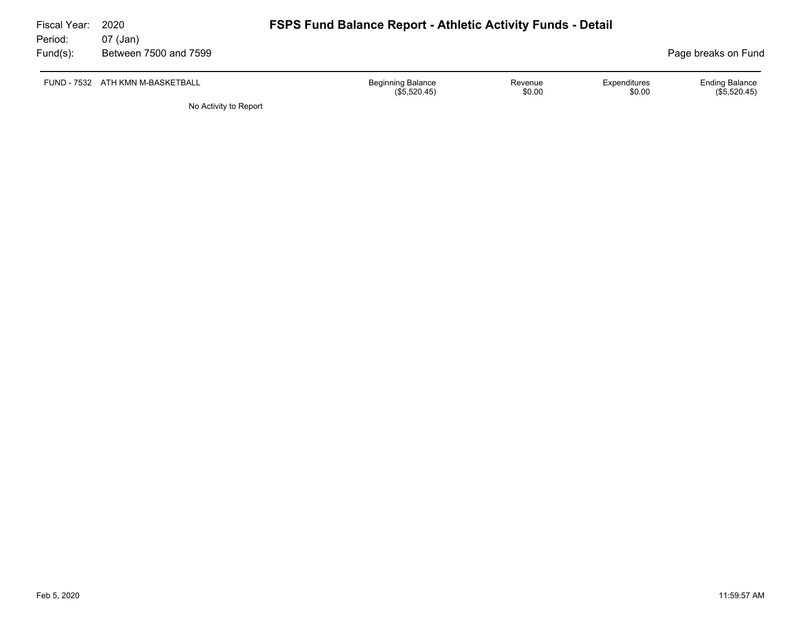| Fiscal Year:<br>Period: | 2020<br>07 (Jan)                 | <b>FSPS Fund Balance Report - Athletic Activity Funds - Detail</b> |                   |                        |                                         |
|-------------------------|----------------------------------|--------------------------------------------------------------------|-------------------|------------------------|-----------------------------------------|
| Fund(s):                | Between 7500 and 7599            |                                                                    |                   |                        | Page breaks on Fund                     |
|                         | FUND - 7532 ATH KMN M-BASKETBALL | <b>Beginning Balance</b><br>(\$5,520.45)                           | Revenue<br>\$0.00 | Expenditures<br>\$0.00 | <b>Ending Balance</b><br>$(\$5,520.45)$ |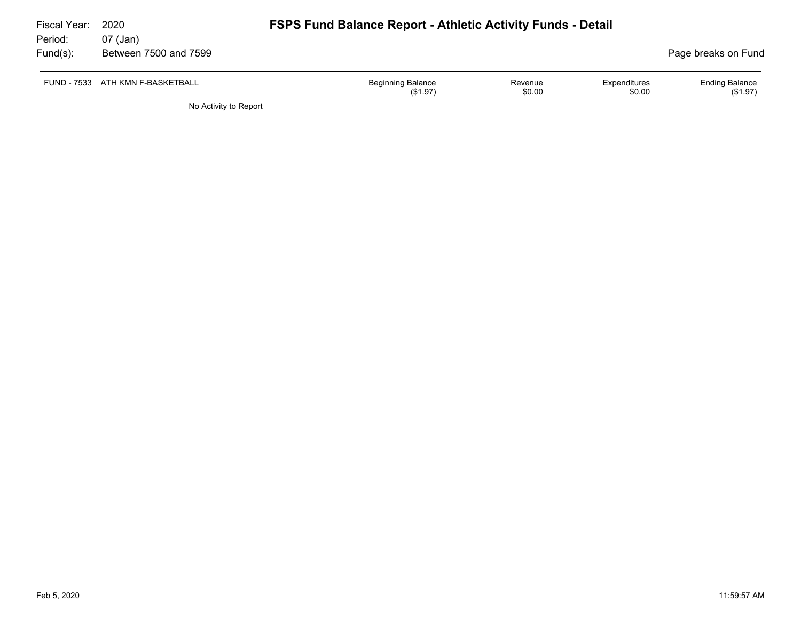| Fiscal Year:<br>Period: | 2020<br>07 (Jan)                 | <b>FSPS Fund Balance Report - Athletic Activity Funds - Detail</b> |                   |                        |                                   |
|-------------------------|----------------------------------|--------------------------------------------------------------------|-------------------|------------------------|-----------------------------------|
| $Fund(s)$ :             | Between 7500 and 7599            |                                                                    |                   |                        | Page breaks on Fund               |
|                         | FUND - 7533 ATH KMN F-BASKETBALL | Beginning Balance<br>(S1.97)                                       | Revenue<br>\$0.00 | Expenditures<br>\$0.00 | <b>Ending Balance</b><br>(\$1.97) |
|                         | No Activity to Report            |                                                                    |                   |                        |                                   |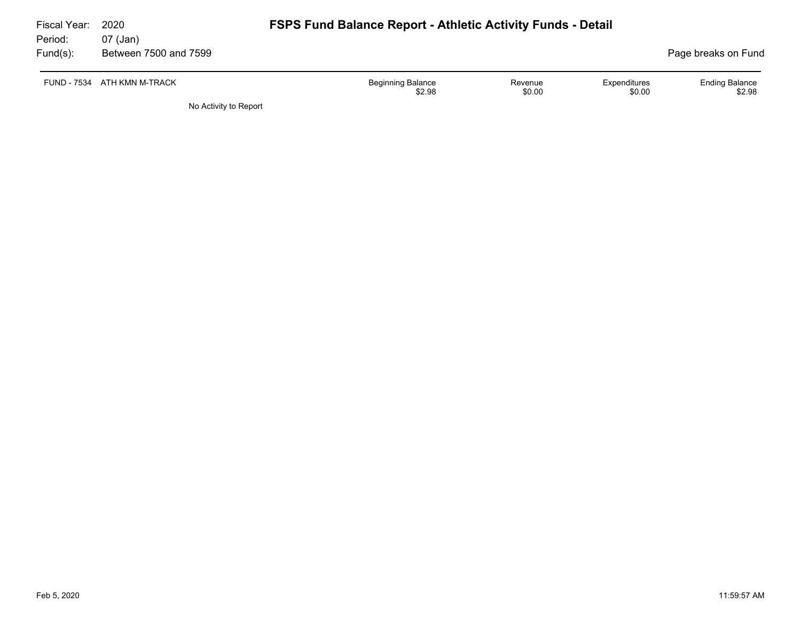| Fiscal Year:<br>Period: | 2020<br>07 (Jan)            | <b>FSPS Fund Balance Report - Athletic Activity Funds - Detail</b>                |                                 |
|-------------------------|-----------------------------|-----------------------------------------------------------------------------------|---------------------------------|
| $Fund(s)$ :             | Between 7500 and 7599       |                                                                                   | Page breaks on Fund             |
|                         | FUND - 7534 ATH KMN M-TRACK | <b>Beginning Balance</b><br>Expenditures<br>Revenue<br>\$0.00<br>\$2.98<br>\$0.00 | <b>Ending Balance</b><br>\$2.98 |
|                         | No Activity to Report       |                                                                                   |                                 |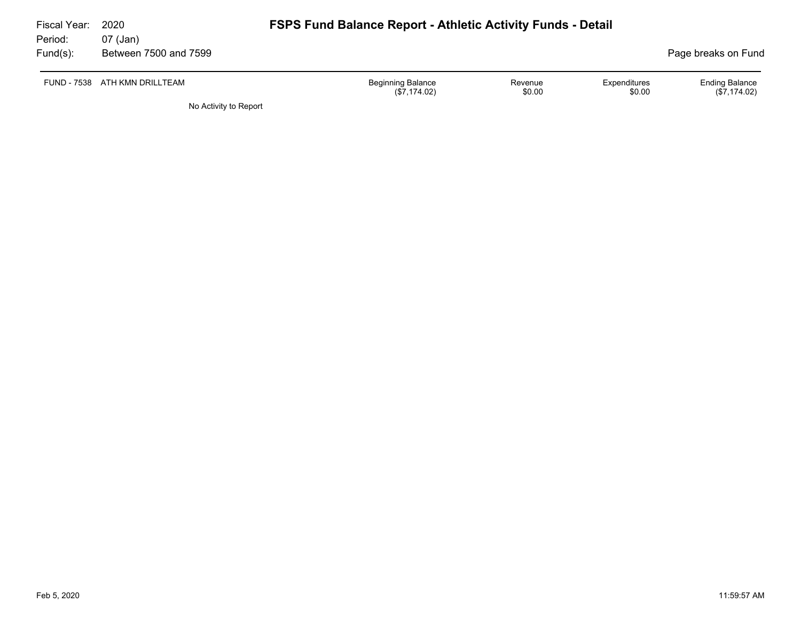| Fiscal Year:<br>Period: | 2020<br>07 (Jan)              | <b>FSPS Fund Balance Report - Athletic Activity Funds - Detail</b> |                   |                        |                                         |
|-------------------------|-------------------------------|--------------------------------------------------------------------|-------------------|------------------------|-----------------------------------------|
| $Fund(s)$ :             | Between 7500 and 7599         |                                                                    |                   |                        | Page breaks on Fund                     |
|                         | FUND - 7538 ATH KMN DRILLTEAM | <b>Beginning Balance</b><br>(\$7,174.02)                           | Revenue<br>\$0.00 | Expenditures<br>\$0.00 | <b>Ending Balance</b><br>$(\$7,174.02)$ |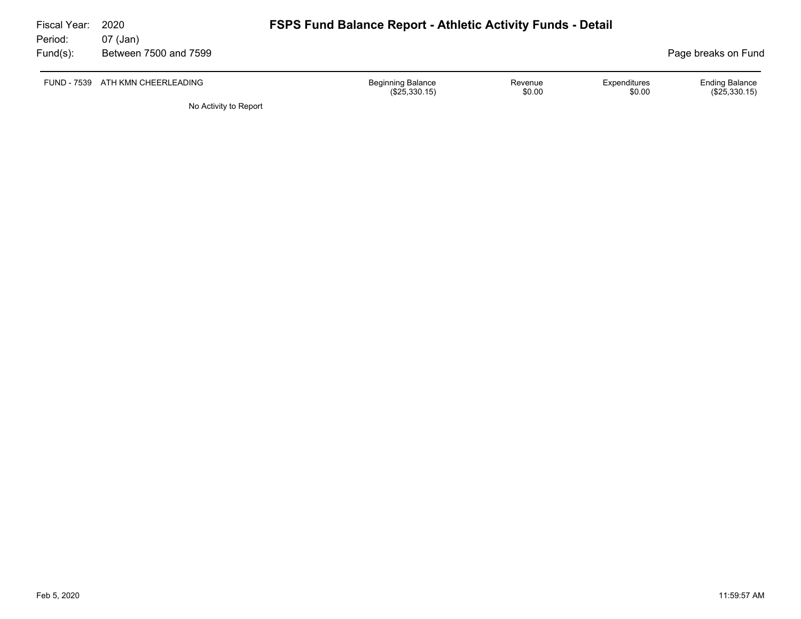| Fiscal Year:<br>Period: | 2020<br>07 (Jan)                 | <b>FSPS Fund Balance Report - Athletic Activity Funds - Detail</b> |                   |                        |                                          |
|-------------------------|----------------------------------|--------------------------------------------------------------------|-------------------|------------------------|------------------------------------------|
| Fund(s):                | Between 7500 and 7599            |                                                                    |                   |                        | Page breaks on Fund                      |
|                         | FUND - 7539 ATH KMN CHEERLEADING | <b>Beginning Balance</b><br>$(\$25,330.15)$                        | Revenue<br>\$0.00 | Expenditures<br>\$0.00 | <b>Ending Balance</b><br>$(\$25,330.15)$ |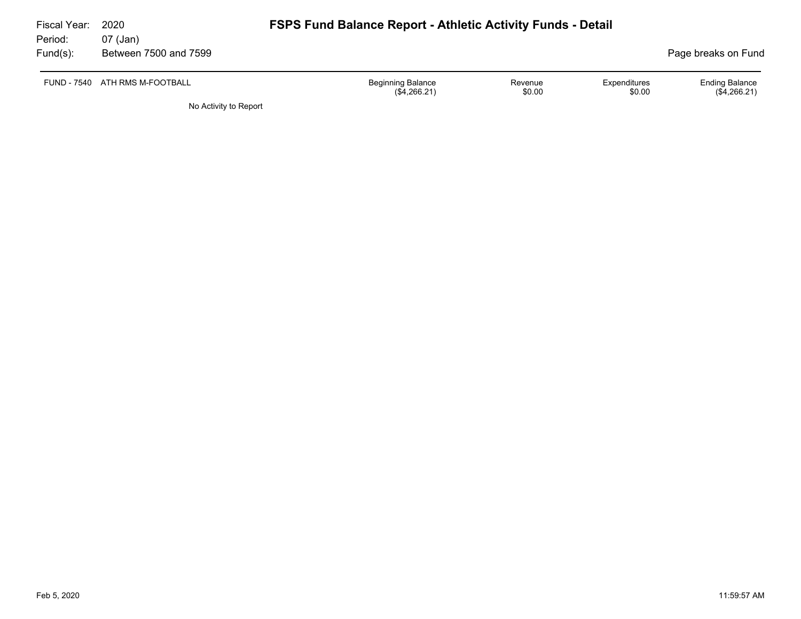| Fiscal Year:<br>Period: | 2020<br>07 (Jan)               |                                          | <b>FSPS Fund Balance Report - Athletic Activity Funds - Detail</b> |                        |                                       |  |
|-------------------------|--------------------------------|------------------------------------------|--------------------------------------------------------------------|------------------------|---------------------------------------|--|
| Fund(s):                | Between 7500 and 7599          |                                          |                                                                    |                        | Page breaks on Fund                   |  |
|                         | FUND - 7540 ATH RMS M-FOOTBALL | <b>Beginning Balance</b><br>(\$4,266.21) | Revenue<br>\$0.00                                                  | Expenditures<br>\$0.00 | <b>Ending Balance</b><br>(\$4,266.21) |  |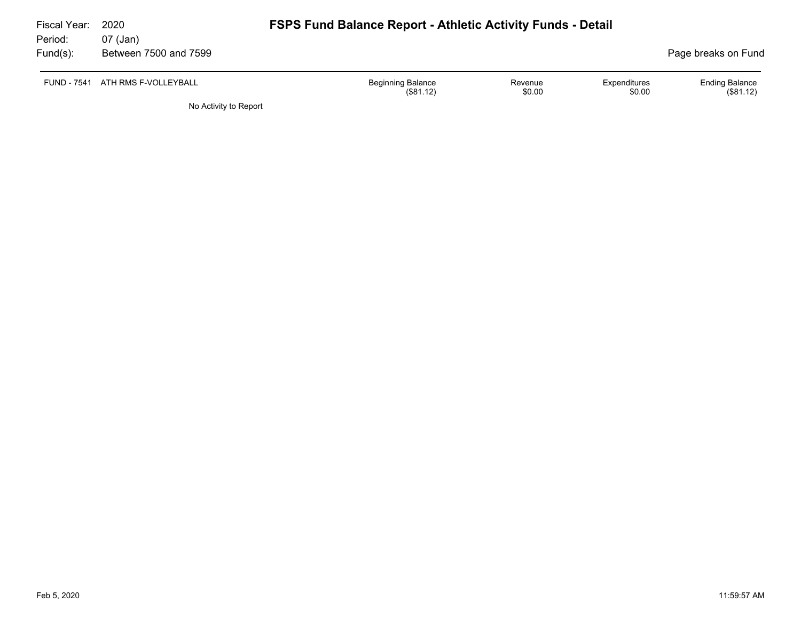| Fiscal Year: | 2020                             | <b>FSPS Fund Balance Report - Athletic Activity Funds - Detail</b> |                   |                        |                                   |  |  |  |  |
|--------------|----------------------------------|--------------------------------------------------------------------|-------------------|------------------------|-----------------------------------|--|--|--|--|
| Period:      | 07 (Jan)                         |                                                                    |                   |                        |                                   |  |  |  |  |
| Fund(s):     | Between 7500 and 7599            |                                                                    |                   |                        | Page breaks on Fund               |  |  |  |  |
|              | FUND - 7541 ATH RMS F-VOLLEYBALL | <b>Beginning Balance</b><br>(\$81.12)                              | Revenue<br>\$0.00 | Expenditures<br>\$0.00 | <b>Ending Balance</b><br>(S81.12) |  |  |  |  |
|              | No Activity to Report            |                                                                    |                   |                        |                                   |  |  |  |  |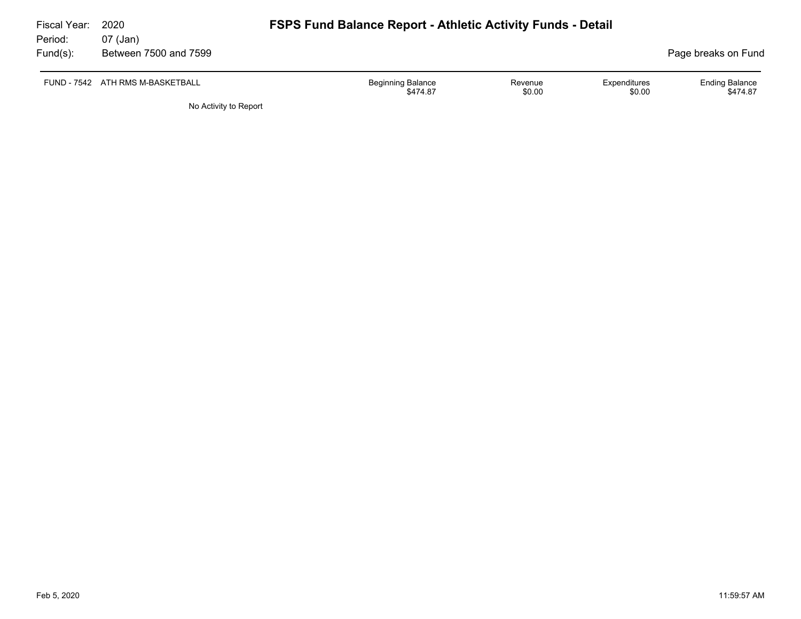| Fiscal Year:<br>Period: | 2020<br>07 (Jan)                 | <b>FSPS Fund Balance Report - Athletic Activity Funds - Detail</b>                  |                                   |
|-------------------------|----------------------------------|-------------------------------------------------------------------------------------|-----------------------------------|
| $Fund(s)$ :             | Between 7500 and 7599            |                                                                                     | Page breaks on Fund               |
|                         | FUND - 7542 ATH RMS M-BASKETBALL | <b>Beginning Balance</b><br>Expenditures<br>Revenue<br>\$0.00<br>\$0.00<br>\$474.87 | <b>Ending Balance</b><br>\$474.87 |
|                         | No Activity to Report            |                                                                                     |                                   |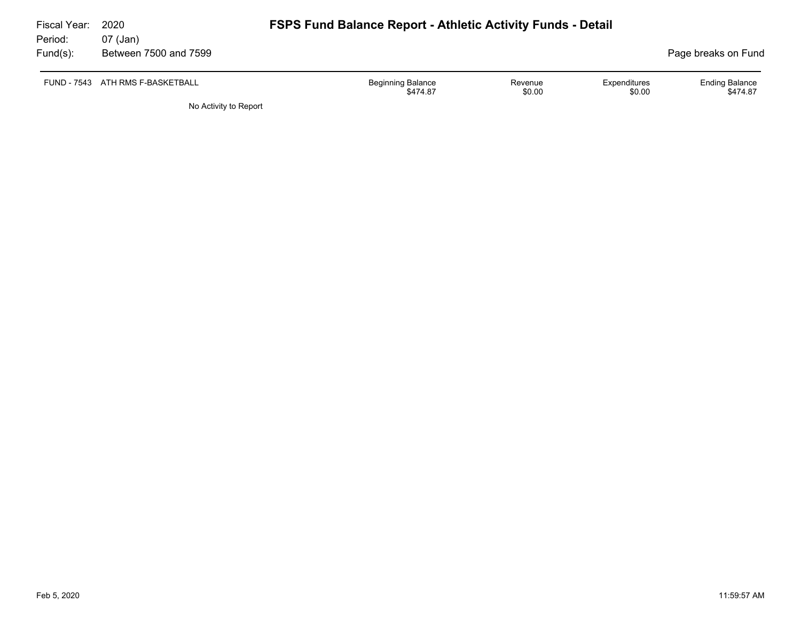| Fiscal Year:<br>Period: | 2020                              | <b>FSPS Fund Balance Report - Athletic Activity Funds - Detail</b> |                   |                        |                                   |
|-------------------------|-----------------------------------|--------------------------------------------------------------------|-------------------|------------------------|-----------------------------------|
| Fund(s):                | 07 (Jan)<br>Between 7500 and 7599 |                                                                    |                   |                        | Page breaks on Fund               |
|                         | FUND - 7543 ATH RMS F-BASKETBALL  | <b>Beginning Balance</b><br>\$474.87                               | Revenue<br>\$0.00 | Expenditures<br>\$0.00 | <b>Ending Balance</b><br>\$474.87 |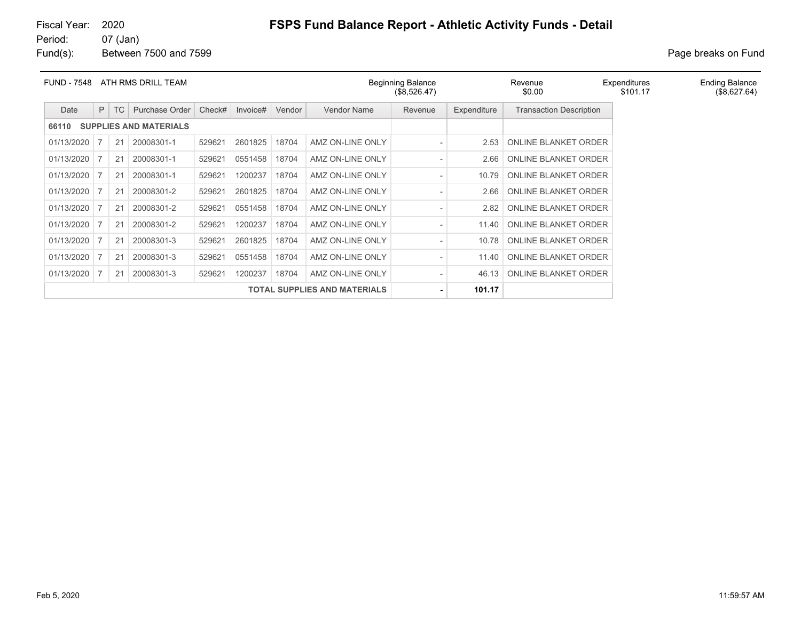#### 07 (Jan)

Fund(s): Between 7500 and 7599 **Page breaks** on Fund

| <b>FUND - 7548</b><br>ATH RMS DRILL TEAM |   |           |                |        | <b>Beginning Balance</b><br>(\$8,526.47) |        |                  | Expenditures<br>\$101.17 | <b>Ending Balance</b><br>(\$8,627.64) |                                |  |  |
|------------------------------------------|---|-----------|----------------|--------|------------------------------------------|--------|------------------|--------------------------|---------------------------------------|--------------------------------|--|--|
| Date                                     | P | <b>TC</b> | Purchase Order | Check# | Invoice#                                 | Vendor | Vendor Name      | Revenue                  | Expenditure                           | <b>Transaction Description</b> |  |  |
| <b>SUPPLIES AND MATERIALS</b><br>66110   |   |           |                |        |                                          |        |                  |                          |                                       |                                |  |  |
| 01/13/2020                               |   | 21        | 20008301-1     | 529621 | 2601825                                  | 18704  | AMZ ON-LINE ONLY |                          | 2.53                                  | <b>ONLINE BLANKET ORDER</b>    |  |  |
| 01/13/2020                               |   | 21        | 20008301-1     | 529621 | 0551458                                  | 18704  | AMZ ON-LINE ONLY | $\overline{\phantom{a}}$ | 2.66                                  | <b>ONLINE BLANKET ORDER</b>    |  |  |
| 01/13/2020                               |   | 21        | 20008301-1     | 529621 | 1200237                                  | 18704  | AMZ ON-LINE ONLY |                          | 10.79                                 | <b>ONLINE BLANKET ORDER</b>    |  |  |
| 01/13/2020                               |   | 21        | 20008301-2     | 529621 | 2601825                                  | 18704  | AMZ ON-LINE ONLY |                          | 2.66                                  | ONLINE BLANKET ORDER           |  |  |
| 01/13/2020                               |   | 21        | 20008301-2     | 529621 | 0551458                                  | 18704  | AMZ ON-LINE ONLY |                          | 2.82                                  | ONLINE BLANKET ORDER           |  |  |
| 01/13/2020                               |   | 21        | 20008301-2     | 529621 | 1200237                                  | 18704  | AMZ ON-LINE ONLY | $\overline{\phantom{a}}$ | 11.40                                 | ONLINE BLANKET ORDER           |  |  |
| 01/13/2020                               |   | 21        | 20008301-3     | 529621 | 2601825                                  | 18704  | AMZ ON-LINE ONLY |                          | 10.78                                 | <b>ONLINE BLANKET ORDER</b>    |  |  |
| 01/13/2020                               |   | 21        | 20008301-3     | 529621 | 0551458                                  | 18704  | AMZ ON-LINE ONLY | $\overline{\phantom{a}}$ | 11.40                                 | <b>ONLINE BLANKET ORDER</b>    |  |  |
| 01/13/2020                               |   | 21        | 20008301-3     | 529621 | 1200237                                  | 18704  | AMZ ON-LINE ONLY |                          | 46.13                                 | ONLINE BLANKET ORDER           |  |  |
| <b>TOTAL SUPPLIES AND MATERIALS</b>      |   |           |                |        |                                          |        | $\blacksquare$   | 101.17                   |                                       |                                |  |  |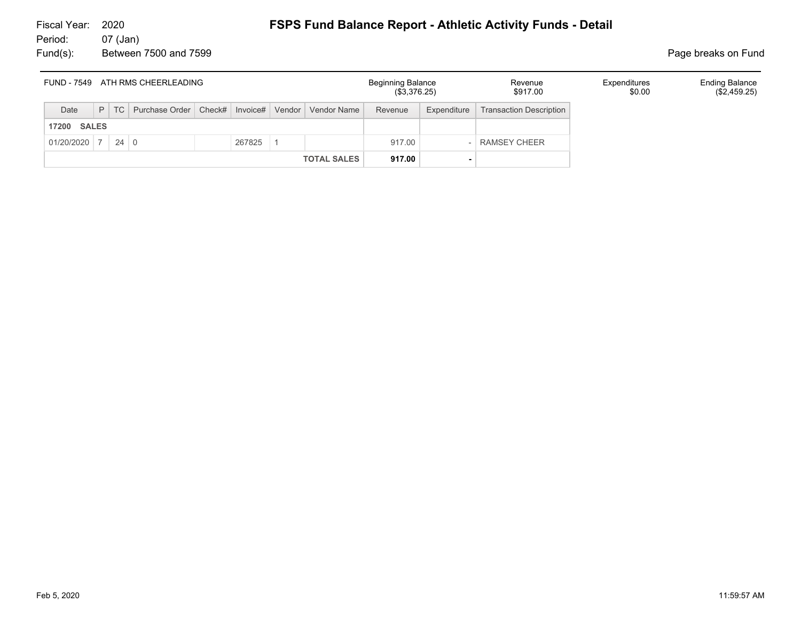#### 07 (Jan) Fund(s): Between 7500 and 7599 **Page breaks** on Fund

| FUND - 7549 ATH RMS CHEERLEADING |   |             |                                                           |  |        |  |                    | <b>Beginning Balance</b><br>(\$3,376.25) |             | Revenue<br>\$917.00            | Expenditures<br>\$0.00 | <b>Ending Balance</b><br>(\$2,459.25) |
|----------------------------------|---|-------------|-----------------------------------------------------------|--|--------|--|--------------------|------------------------------------------|-------------|--------------------------------|------------------------|---------------------------------------|
| Date                             | P | TC          | Purchase Order   Check#   Invoice#   Vendor   Vendor Name |  |        |  |                    | Revenue                                  | Expenditure | <b>Transaction Description</b> |                        |                                       |
| <b>SALES</b><br>17200            |   |             |                                                           |  |        |  |                    |                                          |             |                                |                        |                                       |
| 01/20/2020                       |   | $24 \mid 0$ |                                                           |  | 267825 |  |                    | 917.00                                   |             | RAMSEY CHEER                   |                        |                                       |
|                                  |   |             |                                                           |  |        |  | <b>TOTAL SALES</b> | 917.00                                   |             |                                |                        |                                       |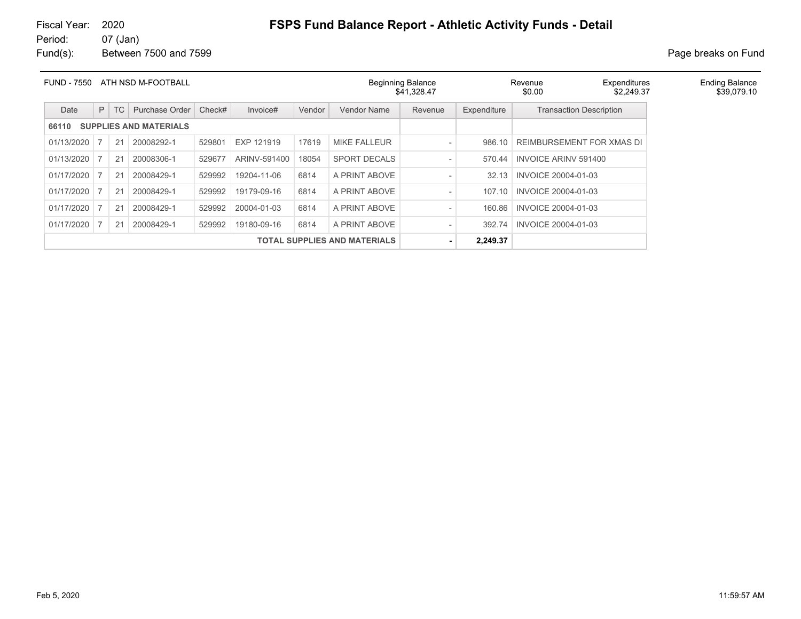#### Fiscal Year: 2020 **FSPS Fund Balance Report - Athletic Activity Funds - Detail**<br>Period: 07 (Jan) 07 (Jan)

Fund(s): Between 7500 and 7599 **Page breaks** on Fund

| ATH NSD M-FOOTBALL<br><b>FUND - 7550</b> |   |    |                               |        |              |        |                                     | <b>Beginning Balance</b><br>\$41,328.47 |             | Revenue<br>\$0.00              | Expenditures<br>\$2,249.37 | <b>Ending Balance</b><br>\$39,079.10 |
|------------------------------------------|---|----|-------------------------------|--------|--------------|--------|-------------------------------------|-----------------------------------------|-------------|--------------------------------|----------------------------|--------------------------------------|
| Date                                     | P | TC | Purchase Order                | Check# | Invoice#     | Vendor | Vendor Name                         | Revenue                                 | Expenditure | <b>Transaction Description</b> |                            |                                      |
| 66110                                    |   |    | <b>SUPPLIES AND MATERIALS</b> |        |              |        |                                     |                                         |             |                                |                            |                                      |
| 01/13/2020                               |   | 21 | 20008292-1                    | 529801 | EXP 121919   | 17619  | <b>MIKE FALLEUR</b>                 |                                         | 986.10      | REIMBURSEMENT FOR XMAS DI      |                            |                                      |
| 01/13/2020                               |   | 21 | 20008306-1                    | 529677 | ARINV-591400 | 18054  | <b>SPORT DECALS</b>                 |                                         | 570.44      | <b>INVOICE ARINV 591400</b>    |                            |                                      |
| 01/17/2020                               |   | 21 | 20008429-1                    | 529992 | 19204-11-06  | 6814   | A PRINT ABOVE                       |                                         | 32.13       | INVOICE 20004-01-03            |                            |                                      |
| 01/17/2020                               |   | 21 | 20008429-1                    | 529992 | 19179-09-16  | 6814   | A PRINT ABOVE                       |                                         | 107.10      | INVOICE 20004-01-03            |                            |                                      |
| 01/17/2020                               |   | 21 | 20008429-1                    | 529992 | 20004-01-03  | 6814   | A PRINT ABOVE                       | $\overline{\phantom{a}}$                | 160.86      | INVOICE 20004-01-03            |                            |                                      |
| 01/17/2020                               |   | 21 | 20008429-1                    | 529992 | 19180-09-16  | 6814   | A PRINT ABOVE                       |                                         | 392.74      | INVOICE 20004-01-03            |                            |                                      |
|                                          |   |    |                               |        |              |        | <b>TOTAL SUPPLIES AND MATERIALS</b> |                                         | 2,249.37    |                                |                            |                                      |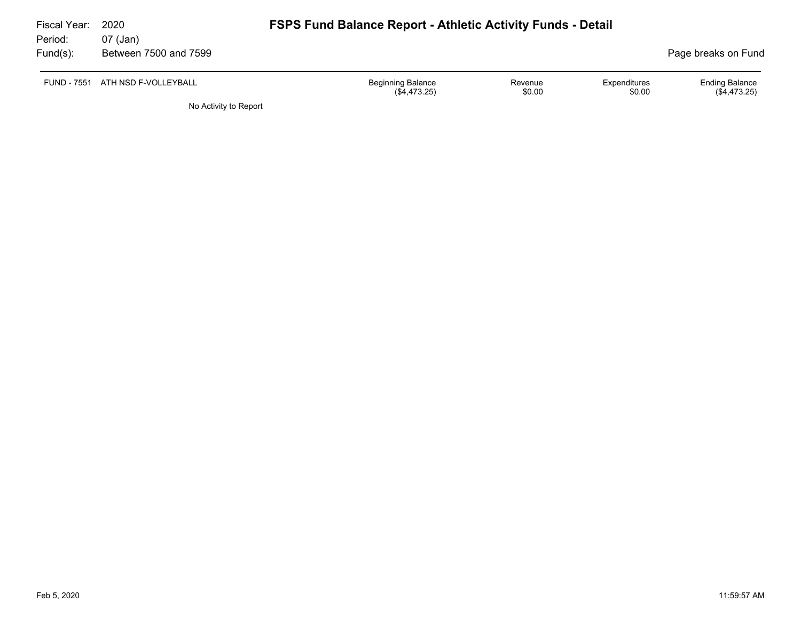| Fiscal Year:        | 2020                              | <b>FSPS Fund Balance Report - Athletic Activity Funds - Detail</b> |                   |                        |                                         |
|---------------------|-----------------------------------|--------------------------------------------------------------------|-------------------|------------------------|-----------------------------------------|
| Period:<br>Fund(s): | 07 (Jan)<br>Between 7500 and 7599 |                                                                    |                   |                        | Page breaks on Fund                     |
|                     | FUND - 7551 ATH NSD F-VOLLEYBALL  | <b>Beginning Balance</b><br>$(\$4,473.25)$                         | Revenue<br>\$0.00 | Expenditures<br>\$0.00 | <b>Ending Balance</b><br>$(\$4,473.25)$ |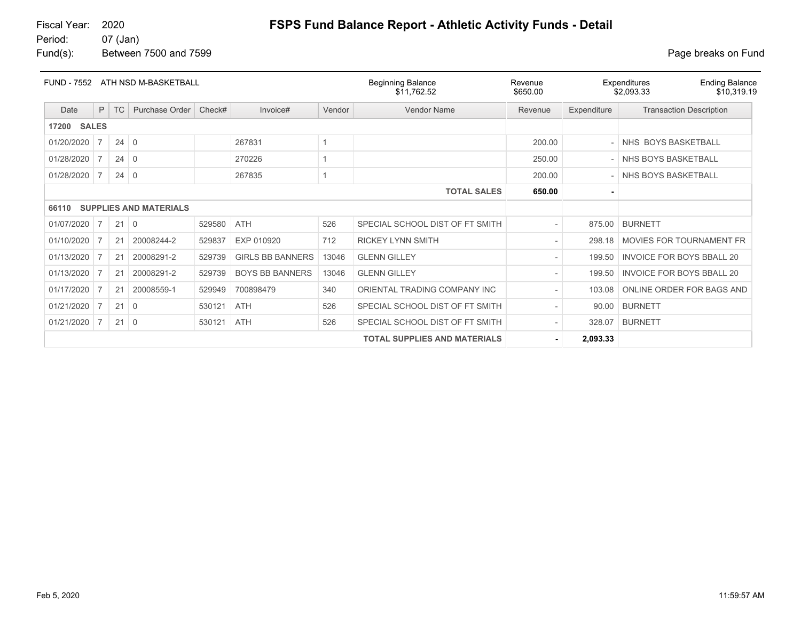Fiscal Year: 2020 **FSPS Fund Balance Report - Athletic Activity Funds - Detail**<br>Period: 07 (Jan)

07 (Jan) Fund(s): Between 7500 and 7599 **Page breaks** on Fund

| <b>FUND - 7552</b>    |                                     |             | ATH NSD M-BASKETBALL          |        |                         |        | <b>Beginning Balance</b><br>\$11,762.52 | Revenue<br>\$650.00 |                | Expenditures<br><b>Ending Balance</b><br>\$10,319.19<br>\$2,093.33 |
|-----------------------|-------------------------------------|-------------|-------------------------------|--------|-------------------------|--------|-----------------------------------------|---------------------|----------------|--------------------------------------------------------------------|
| Date                  | P                                   | <b>TC</b>   | Purchase Order                | Check# | Invoice#                | Vendor | Vendor Name                             | Revenue             | Expenditure    | <b>Transaction Description</b>                                     |
| <b>SALES</b><br>17200 |                                     |             |                               |        |                         |        |                                         |                     |                |                                                                    |
| 01/20/2020            | 7                                   | $24 \mid 0$ |                               |        | 267831                  | 1      |                                         | 200.00              |                | NHS BOYS BASKETBALL                                                |
| 01/28/2020            | 7                                   | $24 \mid 0$ |                               |        | 270226                  |        |                                         | 250.00              | $\overline{a}$ | NHS BOYS BASKETBALL                                                |
| 01/28/2020            | 7                                   | 24          | $\Omega$                      |        | 267835                  |        |                                         | 200.00              |                | NHS BOYS BASKETBALL                                                |
|                       |                                     |             |                               |        |                         |        | <b>TOTAL SALES</b>                      | 650.00              | ۰              |                                                                    |
| 66110                 |                                     |             | <b>SUPPLIES AND MATERIALS</b> |        |                         |        |                                         |                     |                |                                                                    |
| 01/07/2020            | 7                                   | 21          | $\Omega$                      | 529580 | <b>ATH</b>              | 526    | SPECIAL SCHOOL DIST OF FT SMITH         |                     | 875.00         | <b>BURNETT</b>                                                     |
| 01/10/2020            | 7                                   | 21          | 20008244-2                    | 529837 | EXP 010920              | 712    | <b>RICKEY LYNN SMITH</b>                |                     | 298.18         | MOVIES FOR TOURNAMENT FR                                           |
| 01/13/2020            | 7                                   | 21          | 20008291-2                    | 529739 | <b>GIRLS BB BANNERS</b> | 13046  | <b>GLENN GILLEY</b>                     |                     | 199.50         | <b>INVOICE FOR BOYS BBALL 20</b>                                   |
| 01/13/2020            |                                     | 21          | 20008291-2                    | 529739 | <b>BOYS BB BANNERS</b>  | 13046  | <b>GLENN GILLEY</b>                     |                     | 199.50         | <b>INVOICE FOR BOYS BBALL 20</b>                                   |
| 01/17/2020            |                                     | 21          | 20008559-1                    | 529949 | 700898479               | 340    | ORIENTAL TRADING COMPANY INC            |                     | 103.08         | ONLINE ORDER FOR BAGS AND                                          |
| 01/21/2020            |                                     | 21          | 0                             | 530121 | ATH                     | 526    | SPECIAL SCHOOL DIST OF FT SMITH         |                     | 90.00          | <b>BURNETT</b>                                                     |
| 01/21/2020            | 7                                   | 21          | $\mathbf 0$                   | 530121 | <b>ATH</b>              | 526    | SPECIAL SCHOOL DIST OF FT SMITH         |                     | 328.07         | <b>BURNETT</b>                                                     |
|                       | <b>TOTAL SUPPLIES AND MATERIALS</b> |             |                               |        |                         |        |                                         |                     | 2,093.33       |                                                                    |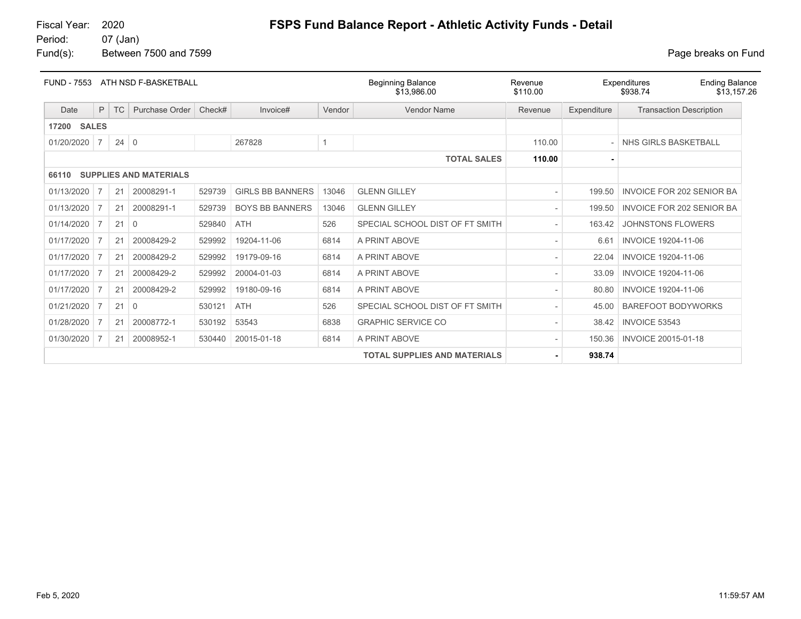07 (Jan)

# Fiscal Year: 2020 **FSPS Fund Balance Report - Athletic Activity Funds - Detail**<br>Period: 07 (Jan)

Fund(s): Between 7500 and 7599 **Page breaks** on Fund

| <b>FUND - 7553</b> |                |             | ATH NSD F-BASKETBALL          |        |                         |                | <b>Beginning Balance</b><br>\$13.986.00 |         |             | <b>Ending Balance</b><br>Expenditures<br>\$938.74<br>\$13.157.26 |
|--------------------|----------------|-------------|-------------------------------|--------|-------------------------|----------------|-----------------------------------------|---------|-------------|------------------------------------------------------------------|
| Date               | P              | <b>TC</b>   | Purchase Order                | Check# | Invoice#                | Vendor         | <b>Vendor Name</b>                      | Revenue | Expenditure | <b>Transaction Description</b>                                   |
| <b>17200 SALES</b> |                |             |                               |        |                         |                |                                         |         |             |                                                                  |
| 01/20/2020         | 7              | $24 \mid 0$ |                               |        | 267828                  | $\overline{1}$ |                                         | 110.00  |             | NHS GIRLS BASKETBALL                                             |
|                    |                |             |                               |        |                         |                | <b>TOTAL SALES</b>                      | 110.00  |             |                                                                  |
| 66110              |                |             | <b>SUPPLIES AND MATERIALS</b> |        |                         |                |                                         |         |             |                                                                  |
| 01/13/2020         | 7              | 21          | 20008291-1                    | 529739 | <b>GIRLS BB BANNERS</b> | 13046          | <b>GLENN GILLEY</b>                     |         | 199.50      | <b>INVOICE FOR 202 SENIOR BA</b>                                 |
| 01/13/2020         |                | 21          | 20008291-1                    | 529739 | <b>BOYS BB BANNERS</b>  | 13046          | <b>GLENN GILLEY</b>                     |         | 199.50      | INVOICE FOR 202 SENIOR BA                                        |
| 01/14/2020         | 7              | 21          | $\Omega$                      | 529840 | <b>ATH</b>              | 526            | SPECIAL SCHOOL DIST OF FT SMITH         |         | 163.42      | <b>JOHNSTONS FLOWERS</b>                                         |
| 01/17/2020         |                | 21          | 20008429-2                    | 529992 | 19204-11-06             | 6814           | A PRINT ABOVE                           |         | 6.61        | <b>INVOICE 19204-11-06</b>                                       |
| 01/17/2020         |                | 21          | 20008429-2                    | 529992 | 19179-09-16             | 6814           | A PRINT ABOVE                           |         | 22.04       | <b>INVOICE 19204-11-06</b>                                       |
| 01/17/2020         | 7              | 21          | 20008429-2                    | 529992 | 20004-01-03             | 6814           | A PRINT ABOVE                           |         | 33.09       | <b>INVOICE 19204-11-06</b>                                       |
| 01/17/2020         |                | 21          | 20008429-2                    | 529992 | 19180-09-16             | 6814           | A PRINT ABOVE                           |         | 80.80       | <b>INVOICE 19204-11-06</b>                                       |
| 01/21/2020         | 7              | 21          | 0                             | 530121 | <b>ATH</b>              | 526            | SPECIAL SCHOOL DIST OF FT SMITH         |         | 45.00       | <b>BAREFOOT BODYWORKS</b>                                        |
| 01/28/2020         |                | 21          | 20008772-1                    | 530192 | 53543                   | 6838           | <b>GRAPHIC SERVICE CO</b>               |         | 38.42       | <b>INVOICE 53543</b>                                             |
| 01/30/2020         | $\overline{7}$ | 21          | 20008952-1                    | 530440 | 20015-01-18             | 6814           | A PRINT ABOVE                           |         | 150.36      | INVOICE 20015-01-18                                              |
|                    |                |             |                               |        |                         |                | <b>TOTAL SUPPLIES AND MATERIALS</b>     |         | 938.74      |                                                                  |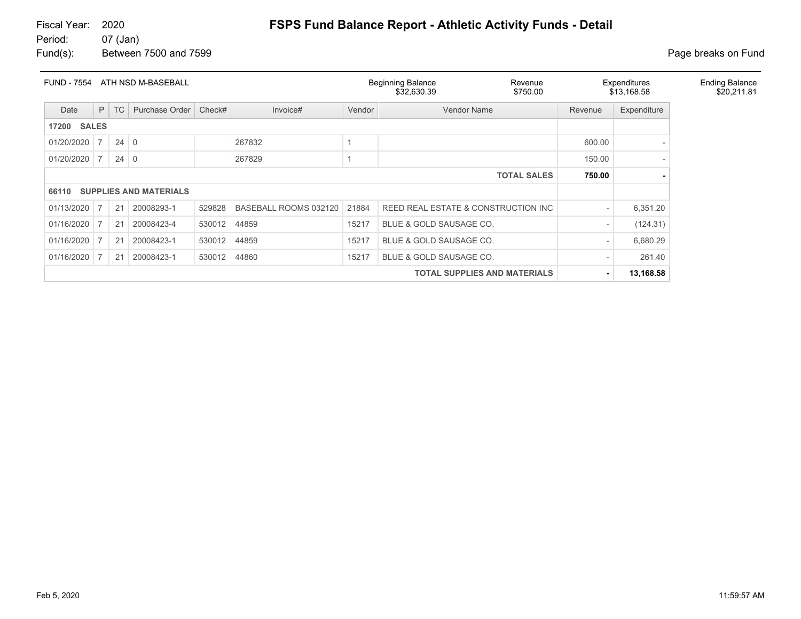#### 07 (Jan)

Fund(s): Between 7500 and 7599 **Page breaks** on Fund

| <b>FUND - 7554</b>    |                |             | ATH NSD M-BASEBALL            |        |                       |        | <b>Beginning Balance</b><br>Revenue<br>\$32,630.39<br>\$750.00 |         | Expenditures<br>\$13,168.58 | <b>Ending Balance</b><br>\$20,211.81 |
|-----------------------|----------------|-------------|-------------------------------|--------|-----------------------|--------|----------------------------------------------------------------|---------|-----------------------------|--------------------------------------|
| Date                  | P              | TC          | Purchase Order                | Check# | Invoice#              | Vendor | <b>Vendor Name</b>                                             | Revenue | Expenditure                 |                                      |
| <b>SALES</b><br>17200 |                |             |                               |        |                       |        |                                                                |         |                             |                                      |
| 01/20/2020            | $\overline{7}$ | $24 \mid 0$ |                               |        | 267832                |        |                                                                | 600.00  |                             |                                      |
| 01/20/2020            |                | $24 \mid 0$ |                               |        | 267829                |        |                                                                | 150.00  |                             |                                      |
|                       |                |             |                               |        |                       |        | <b>TOTAL SALES</b>                                             | 750.00  |                             |                                      |
| 66110                 |                |             | <b>SUPPLIES AND MATERIALS</b> |        |                       |        |                                                                |         |                             |                                      |
| 01/13/2020            |                | 21          | 20008293-1                    | 529828 | BASEBALL ROOMS 032120 | 21884  | REED REAL ESTATE & CONSTRUCTION INC                            |         | 6,351.20                    |                                      |
| 01/16/2020            |                | 21          | 20008423-4                    | 530012 | 44859                 | 15217  | BLUE & GOLD SAUSAGE CO.                                        |         | (124.31)                    |                                      |
| 01/16/2020            |                | 21          | 20008423-1                    | 530012 | 44859                 | 15217  | BLUE & GOLD SAUSAGE CO.                                        |         | 6,680.29                    |                                      |
| 01/16/2020            |                | 21          | 20008423-1                    | 530012 | 44860                 | 15217  | BLUE & GOLD SAUSAGE CO.                                        |         | 261.40                      |                                      |
|                       |                |             |                               |        |                       |        | <b>TOTAL SUPPLIES AND MATERIALS</b>                            |         | 13,168.58                   |                                      |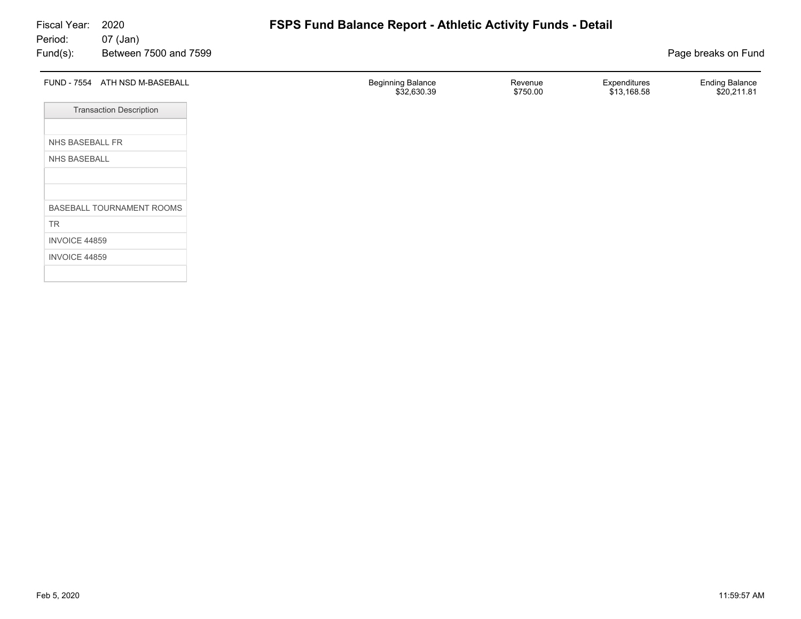| FUND - 7554 ATH NSD M-BASEBALL | <b>Beginning Balance</b><br>\$32,630.39 | Revenue<br>\$750.00 | Expenditures<br>\$13,168.58 | <b>Ending Balance</b><br>\$20,211.81 |
|--------------------------------|-----------------------------------------|---------------------|-----------------------------|--------------------------------------|
| <b>Transaction Description</b> |                                         |                     |                             |                                      |
| NHS BASEBALL FR                |                                         |                     |                             |                                      |
| NHS BASEBALL                   |                                         |                     |                             |                                      |
|                                |                                         |                     |                             |                                      |
| BASEBALL TOURNAMENT ROOMS      |                                         |                     |                             |                                      |
| TR                             |                                         |                     |                             |                                      |
| INVOICE 44859                  |                                         |                     |                             |                                      |
| INVOICE 44859                  |                                         |                     |                             |                                      |
|                                |                                         |                     |                             |                                      |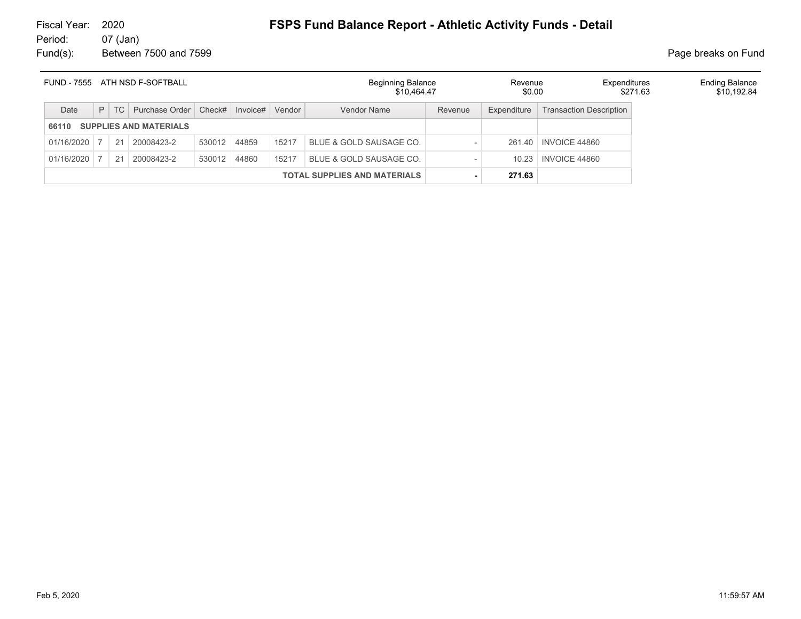# Fiscal Year: 2020 **FSPS Fund Balance Report - Athletic Activity Funds - Detail**<br>Period: 07 (Jan)

07 (Jan) Fund(s): Between 7500 and 7599 **Page breaks** on Fund

| <b>FUND - 7555</b> | ATH NSD F-SOFTBALL |    |                               |              | <b>Beginning Balance</b><br>\$10.464.47 | Revenue<br>\$0.00 |                                     | <b>Ending Balance</b><br>Expenditures<br>\$271.63 |             |                                |  |  |
|--------------------|--------------------|----|-------------------------------|--------------|-----------------------------------------|-------------------|-------------------------------------|---------------------------------------------------|-------------|--------------------------------|--|--|
| Date               | P                  | TC | Purchase Order                |              | $Check\#$ Invoice#                      | Vendor            | Vendor Name                         | Revenue                                           | Expenditure | <b>Transaction Description</b> |  |  |
| 66110              |                    |    | <b>SUPPLIES AND MATERIALS</b> |              |                                         |                   |                                     |                                                   |             |                                |  |  |
| 01/16/2020         |                    | 21 | 20008423-2                    | 530012 44859 |                                         | 15217             | BLUE & GOLD SAUSAGE CO.             |                                                   |             | 261.40   INVOICE 44860         |  |  |
| 01/16/2020         |                    | 21 | 20008423-2                    | 530012 44860 |                                         | 15217             | BLUE & GOLD SAUSAGE CO.             |                                                   | 10.23       | INVOICE 44860                  |  |  |
|                    |                    |    |                               |              |                                         |                   | <b>TOTAL SUPPLIES AND MATERIALS</b> |                                                   | 271.63      |                                |  |  |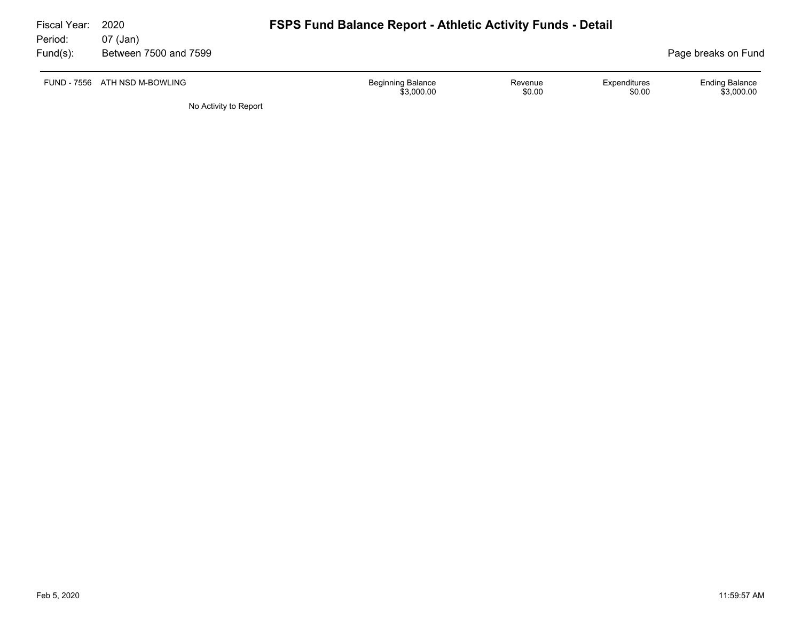| Fiscal Year:<br>Period: | 2020<br>07 (Jan)              | <b>FSPS Fund Balance Report - Athletic Activity Funds - Detail</b> |                   |                        |                                     |
|-------------------------|-------------------------------|--------------------------------------------------------------------|-------------------|------------------------|-------------------------------------|
| Fund(s):                | Between 7500 and 7599         |                                                                    |                   |                        | Page breaks on Fund                 |
|                         | FUND - 7556 ATH NSD M-BOWLING | <b>Beginning Balance</b><br>\$3,000.00                             | Revenue<br>\$0.00 | Expenditures<br>\$0.00 | <b>Ending Balance</b><br>\$3,000.00 |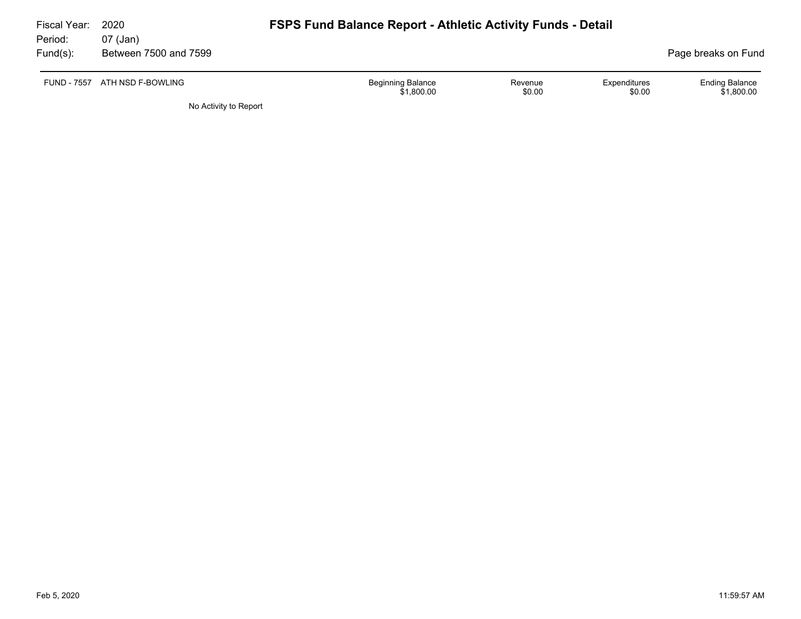| Fiscal Year:<br>Period: | 2020<br>07 (Jan)              | <b>FSPS Fund Balance Report - Athletic Activity Funds - Detail</b> |                   |                        |                                     |
|-------------------------|-------------------------------|--------------------------------------------------------------------|-------------------|------------------------|-------------------------------------|
| Fund(s):                | Between 7500 and 7599         |                                                                    |                   |                        | Page breaks on Fund                 |
|                         | FUND - 7557 ATH NSD F-BOWLING | <b>Beginning Balance</b><br>\$1,800.00                             | Revenue<br>\$0.00 | Expenditures<br>\$0.00 | <b>Ending Balance</b><br>\$1,800.00 |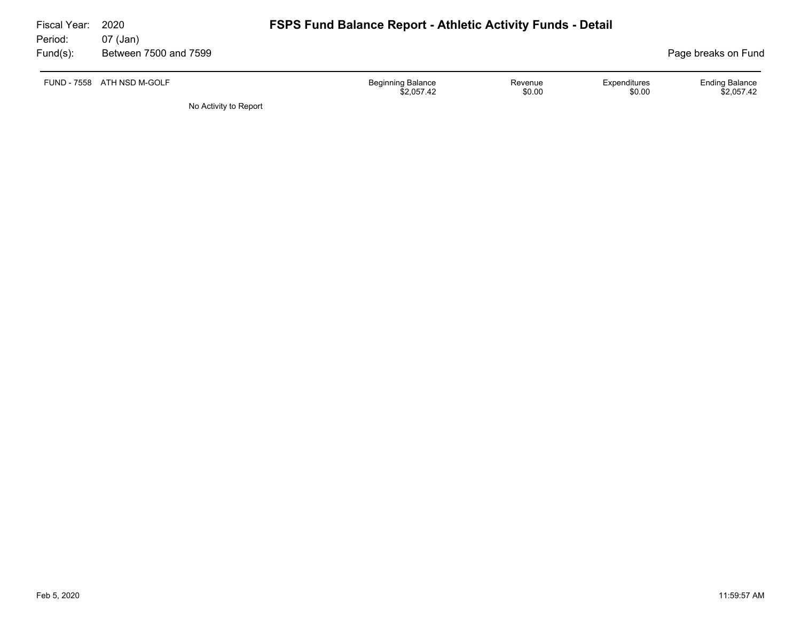| Fiscal Year:<br>Period: | 2020<br>07 (Jan)           | <b>FSPS Fund Balance Report - Athletic Activity Funds - Detail</b> |                   |                        |                                     |
|-------------------------|----------------------------|--------------------------------------------------------------------|-------------------|------------------------|-------------------------------------|
| Fund(s):                | Between 7500 and 7599      |                                                                    |                   |                        | Page breaks on Fund                 |
|                         | FUND - 7558 ATH NSD M-GOLF | <b>Beginning Balance</b><br>\$2,057.42                             | Revenue<br>\$0.00 | Expenditures<br>\$0.00 | <b>Ending Balance</b><br>\$2,057.42 |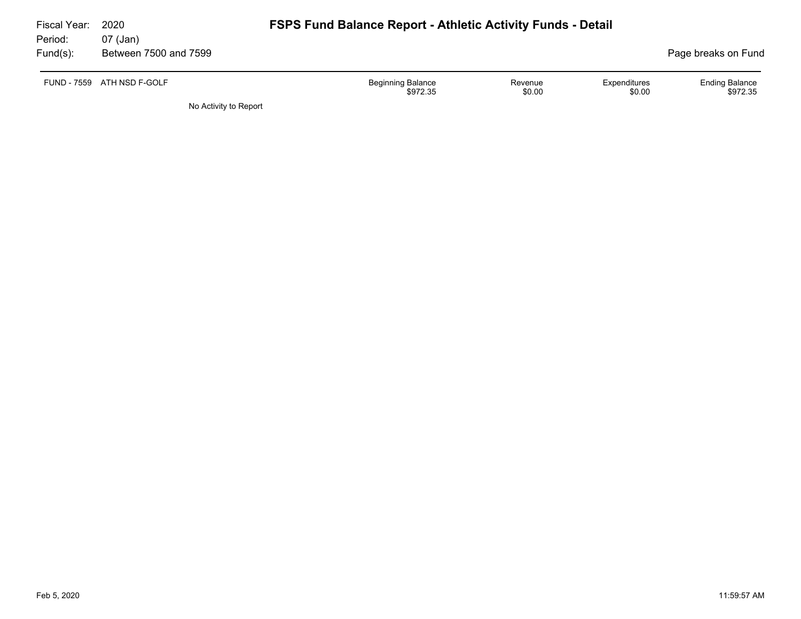| Fiscal Year:<br>Period: | 2020<br>07 (Jan)           | <b>FSPS Fund Balance Report - Athletic Activity Funds - Detail</b>                  |                                   |
|-------------------------|----------------------------|-------------------------------------------------------------------------------------|-----------------------------------|
| Fund(s):                | Between 7500 and 7599      |                                                                                     | Page breaks on Fund               |
|                         | FUND - 7559 ATH NSD F-GOLF | <b>Beginning Balance</b><br>Expenditures<br>Revenue<br>\$0.00<br>\$0.00<br>\$972.35 | <b>Ending Balance</b><br>\$972.35 |
|                         |                            |                                                                                     |                                   |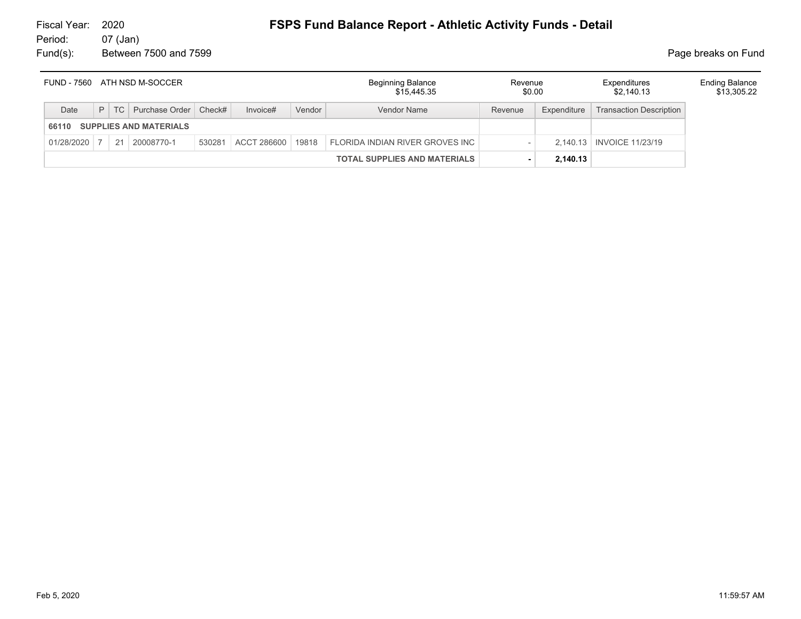#### 07 (Jan) Fund(s): Between 7500 and 7599 **Page breaks** on Fund

| FUND - 7560<br>ATH NSD M-SOCCER |  |    | <b>Beginning Balance</b><br>\$15.445.35 | Revenue<br>\$0.00 |             | Expenditures<br>\$2,140.13 | <b>Ending Balance</b><br>\$13,305.22 |                        |          |                                |  |
|---------------------------------|--|----|-----------------------------------------|-------------------|-------------|----------------------------|--------------------------------------|------------------------|----------|--------------------------------|--|
| Date                            |  |    | P   TC   Purchase Order   Check#        |                   | Invoice#    | Vendor                     | Vendor Name                          | Expenditure<br>Revenue |          | <b>Transaction Description</b> |  |
| 66110                           |  |    | <b>SUPPLIES AND MATERIALS</b>           |                   |             |                            |                                      |                        |          |                                |  |
| 01/28/2020                      |  | 21 | 20008770-1                              | 530281            | ACCT 286600 | 19818                      | FLORIDA INDIAN RIVER GROVES INC      |                        |          | 2.140.13   INVOICE 11/23/19    |  |
|                                 |  |    |                                         |                   |             |                            | <b>TOTAL SUPPLIES AND MATERIALS</b>  |                        | 2,140.13 |                                |  |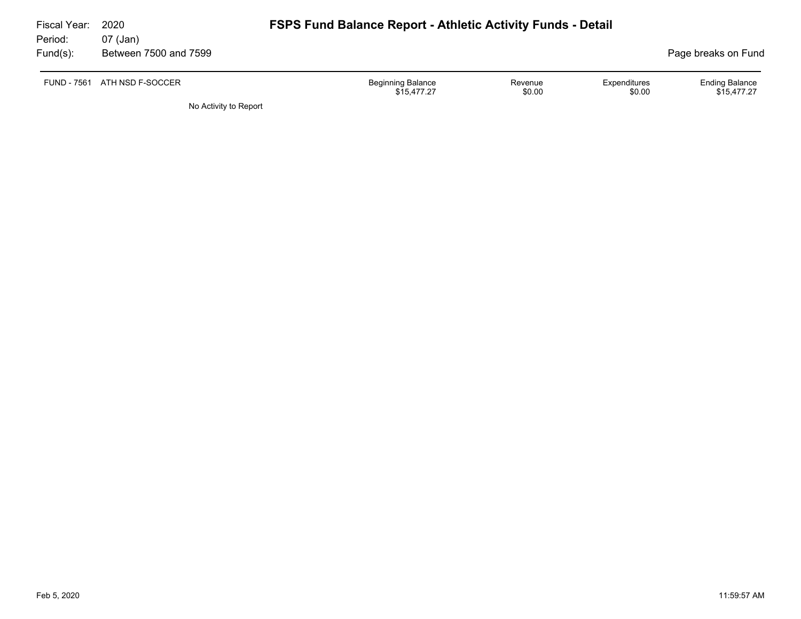| Fiscal Year:<br>Period: | 2020<br>07 (Jan)             | <b>FSPS Fund Balance Report - Athletic Activity Funds - Detail</b> |                   |                        |                                      |
|-------------------------|------------------------------|--------------------------------------------------------------------|-------------------|------------------------|--------------------------------------|
| Fund(s):                | Between 7500 and 7599        |                                                                    |                   |                        | Page breaks on Fund                  |
|                         | FUND - 7561 ATH NSD F-SOCCER | <b>Beginning Balance</b><br>\$15.477.27                            | Revenue<br>\$0.00 | Expenditures<br>\$0.00 | <b>Ending Balance</b><br>\$15.477.27 |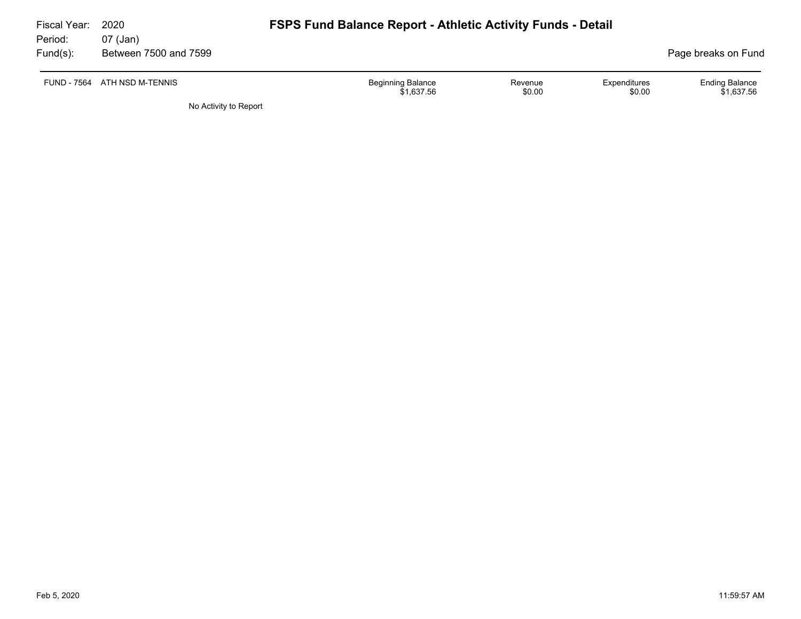| Fiscal Year:<br>Period: | 2020<br>07 (Jan)      | <b>FSPS Fund Balance Report - Athletic Activity Funds - Detail</b> |                   |                        |                                     |
|-------------------------|-----------------------|--------------------------------------------------------------------|-------------------|------------------------|-------------------------------------|
| Fund(s):                | Between 7500 and 7599 |                                                                    |                   |                        | Page breaks on Fund                 |
| FUND - 7564             | ATH NSD M-TENNIS      | <b>Beginning Balance</b><br>\$1.637.56                             | Revenue<br>\$0.00 | Expenditures<br>\$0.00 | <b>Ending Balance</b><br>\$1.637.56 |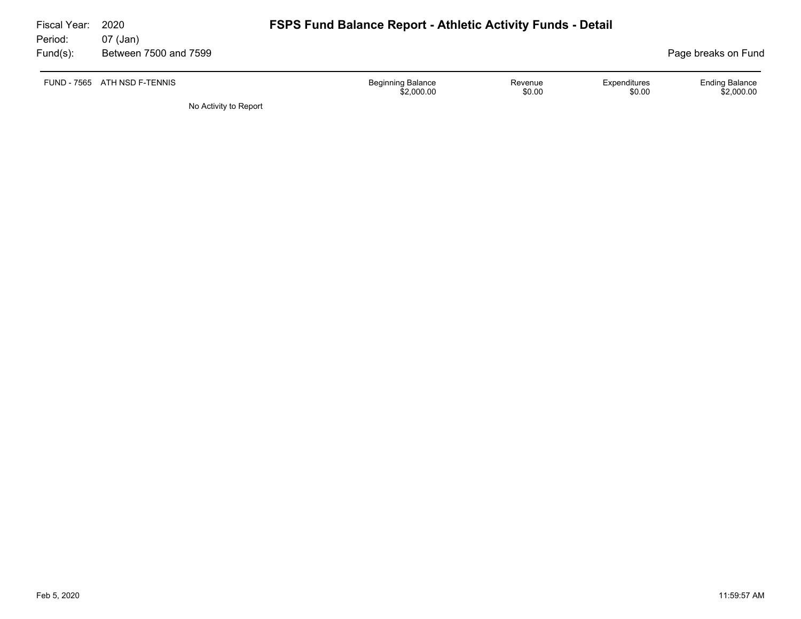| Fiscal Year:        | 2020                              | <b>FSPS Fund Balance Report - Athletic Activity Funds - Detail</b> |                   |                        |                                     |  |  |  |  |
|---------------------|-----------------------------------|--------------------------------------------------------------------|-------------------|------------------------|-------------------------------------|--|--|--|--|
| Period:<br>Fund(s): | 07 (Jan)<br>Between 7500 and 7599 |                                                                    |                   |                        | Page breaks on Fund                 |  |  |  |  |
|                     | FUND - 7565 ATH NSD F-TENNIS      | <b>Beginning Balance</b><br>\$2,000.00                             | Revenue<br>\$0.00 | Expenditures<br>\$0.00 | <b>Ending Balance</b><br>\$2,000.00 |  |  |  |  |
|                     | No Activity to Report             |                                                                    |                   |                        |                                     |  |  |  |  |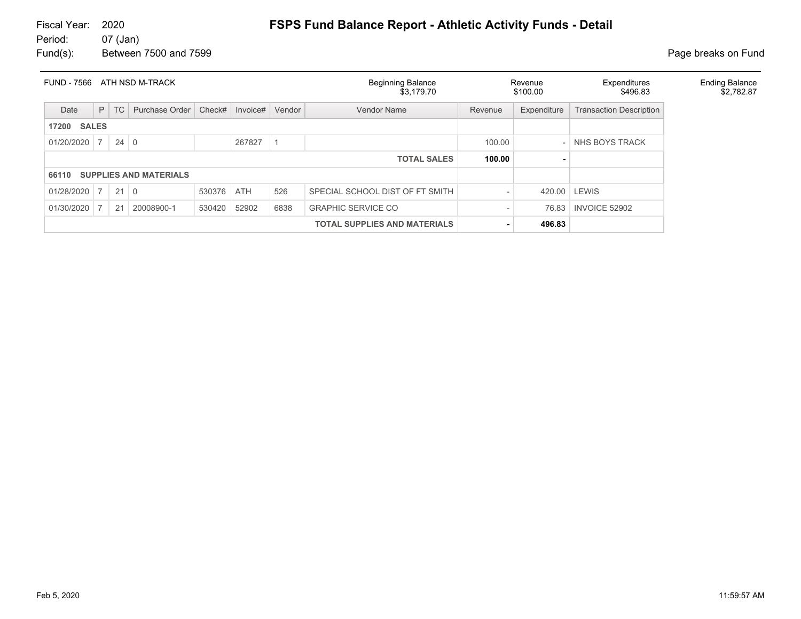# Fiscal Year: 2020 **FSPS Fund Balance Report - Athletic Activity Funds - Detail**<br>Period: 07 (Jan)

07 (Jan) Fund(s): Between 7500 and 7599 **Page breaks** on Fund

| ATH NSD M-TRACK<br><b>FUND - 7566</b> |                                     |             |                               | <b>Beginning Balance</b><br>\$3,179.70 |            | Revenue<br>\$100.00 | Expenditures<br>\$496.83        | <b>Ending Balance</b><br>\$2,782.87 |        |                                |  |
|---------------------------------------|-------------------------------------|-------------|-------------------------------|----------------------------------------|------------|---------------------|---------------------------------|-------------------------------------|--------|--------------------------------|--|
| Date                                  | P                                   | <b>TC</b>   | Purchase Order                | Check#                                 | Invoice#   | Vendor              | Vendor Name                     | Expenditure<br>Revenue              |        | <b>Transaction Description</b> |  |
| <b>SALES</b><br>17200                 |                                     |             |                               |                                        |            |                     |                                 |                                     |        |                                |  |
| 01/20/2020                            | $\overline{7}$                      | $24 \mid 0$ |                               |                                        | 267827     |                     |                                 | 100.00                              |        | NHS BOYS TRACK                 |  |
|                                       | <b>TOTAL SALES</b>                  |             |                               |                                        |            |                     |                                 | 100.00                              |        |                                |  |
| 66110                                 |                                     |             | <b>SUPPLIES AND MATERIALS</b> |                                        |            |                     |                                 |                                     |        |                                |  |
| $01/28/2020$ 7                        |                                     | $21 \mid 0$ |                               | 530376                                 | <b>ATH</b> | 526                 | SPECIAL SCHOOL DIST OF FT SMITH |                                     | 420.00 | <b>LEWIS</b>                   |  |
| 01/30/2020                            |                                     | 21          | 20008900-1                    | 530420                                 | 52902      | 6838                | <b>GRAPHIC SERVICE CO</b>       |                                     | 76.83  | INVOICE 52902                  |  |
|                                       | <b>TOTAL SUPPLIES AND MATERIALS</b> |             |                               |                                        |            |                     |                                 |                                     | 496.83 |                                |  |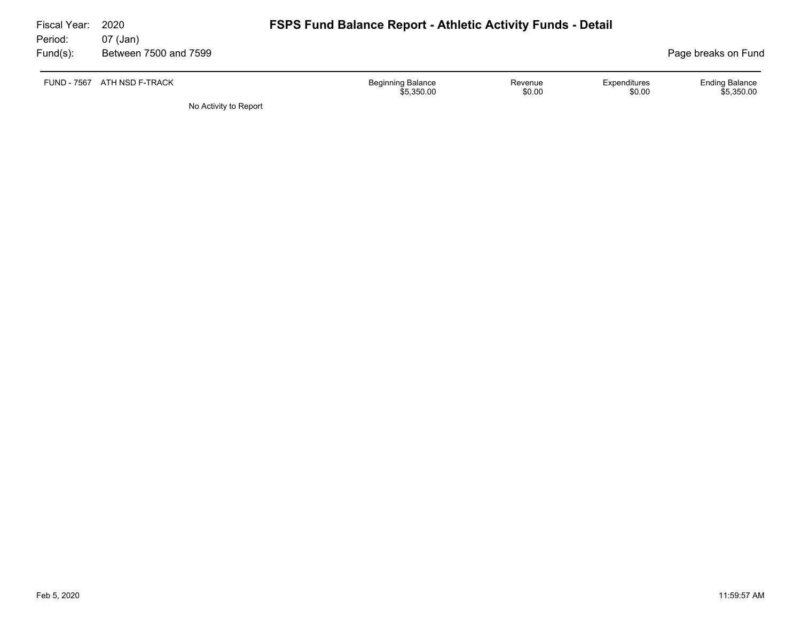| Fiscal Year:<br>Period: | 2020<br>07 (Jan)            | <b>FSPS Fund Balance Report - Athletic Activity Funds - Detail</b> |                   |                        |                                     |
|-------------------------|-----------------------------|--------------------------------------------------------------------|-------------------|------------------------|-------------------------------------|
| Fund(s):                | Between 7500 and 7599       |                                                                    |                   |                        | Page breaks on Fund                 |
|                         | FUND - 7567 ATH NSD F-TRACK | <b>Beginning Balance</b><br>\$5,350.00                             | Revenue<br>\$0.00 | Expenditures<br>\$0.00 | <b>Ending Balance</b><br>\$5,350.00 |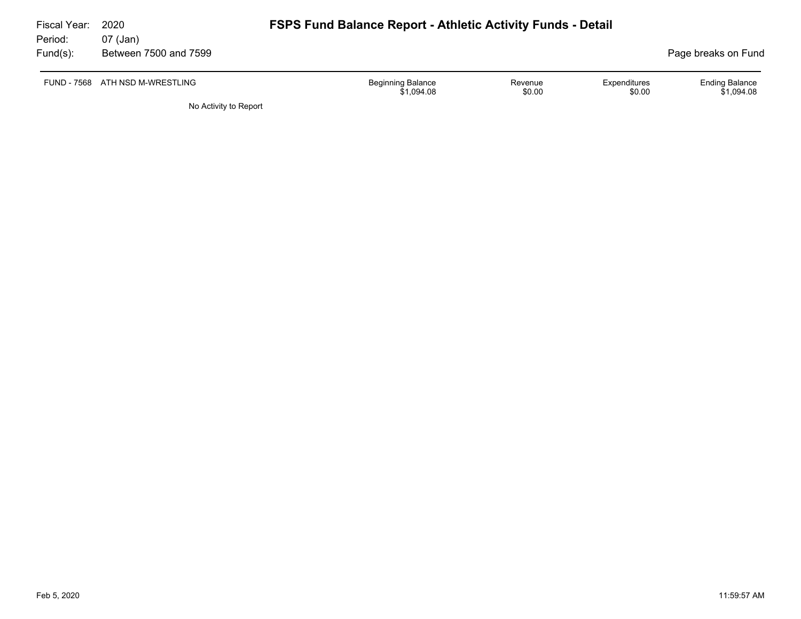| Fiscal Year:<br>Period: | 2020<br>07 (Jan)                | <b>FSPS Fund Balance Report - Athletic Activity Funds - Detail</b> |                   |                        |                                     |
|-------------------------|---------------------------------|--------------------------------------------------------------------|-------------------|------------------------|-------------------------------------|
| Fund(s):                | Between 7500 and 7599           |                                                                    |                   |                        | Page breaks on Fund                 |
|                         | FUND - 7568 ATH NSD M-WRESTLING | <b>Beginning Balance</b><br>\$1.094.08                             | Revenue<br>\$0.00 | Expenditures<br>\$0.00 | <b>Ending Balance</b><br>\$1.094.08 |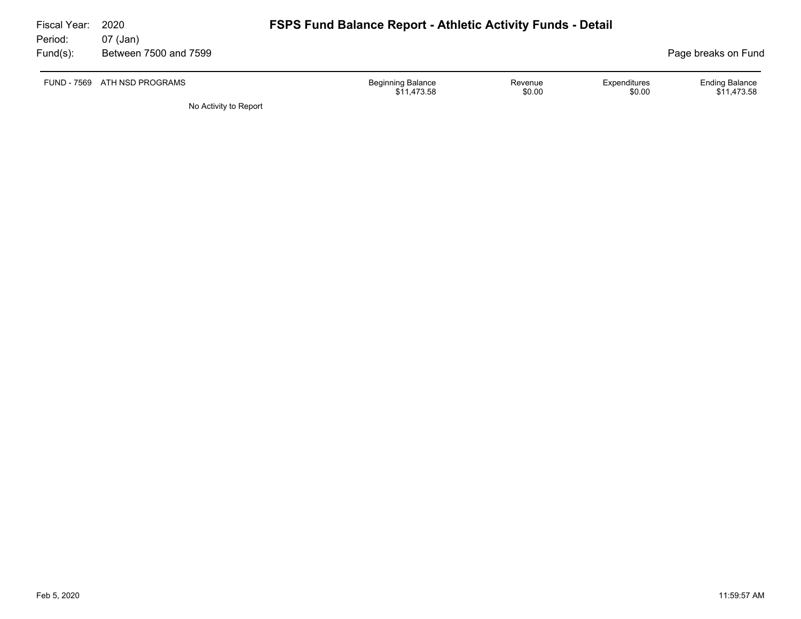| Fiscal Year:<br>Period: | 2020<br>07 (Jan)             | <b>FSPS Fund Balance Report - Athletic Activity Funds - Detail</b> |                   |                        |                                      |
|-------------------------|------------------------------|--------------------------------------------------------------------|-------------------|------------------------|--------------------------------------|
| $Fund(s)$ :             | Between 7500 and 7599        |                                                                    |                   |                        | Page breaks on Fund                  |
|                         | FUND - 7569 ATH NSD PROGRAMS | <b>Beginning Balance</b><br>\$11,473.58                            | Revenue<br>\$0.00 | Expenditures<br>\$0.00 | <b>Ending Balance</b><br>\$11,473.58 |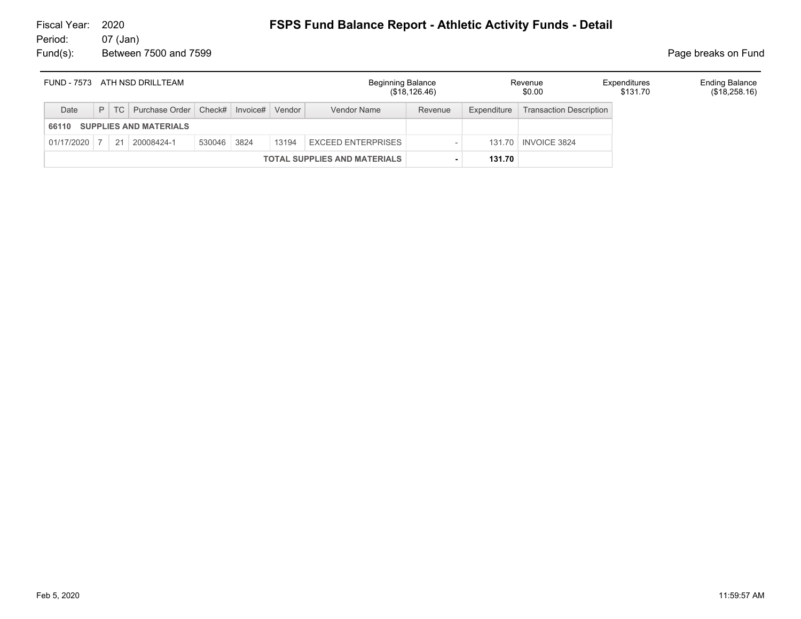#### 07 (Jan) Fund(s): Between 7500 and 7599 **Page breaks** on Fund

| FUND - 7573 ATH NSD DRILLTEAM       |  |    | <b>Beginning Balance</b>              | (\$18, 126.46) |  | Revenue<br>\$0.00 | Expenditures<br>\$131.70  | <b>Ending Balance</b><br>(\$18,258.16) |             |                                |  |  |
|-------------------------------------|--|----|---------------------------------------|----------------|--|-------------------|---------------------------|----------------------------------------|-------------|--------------------------------|--|--|
| Date                                |  |    | $P$ TC Purchase Order Check# Invoice# |                |  | Vendor            | Vendor Name               | Revenue                                | Expenditure | <b>Transaction Description</b> |  |  |
| 66110                               |  |    | <b>SUPPLIES AND MATERIALS</b>         |                |  |                   |                           |                                        |             |                                |  |  |
| 01/17/2020                          |  | 21 | 20008424-1                            | 530046 3824    |  | 13194             | <b>EXCEED ENTERPRISES</b> |                                        |             | 131.70   INVOICE 3824          |  |  |
| <b>TOTAL SUPPLIES AND MATERIALS</b> |  |    |                                       |                |  |                   |                           | 131.70                                 |             |                                |  |  |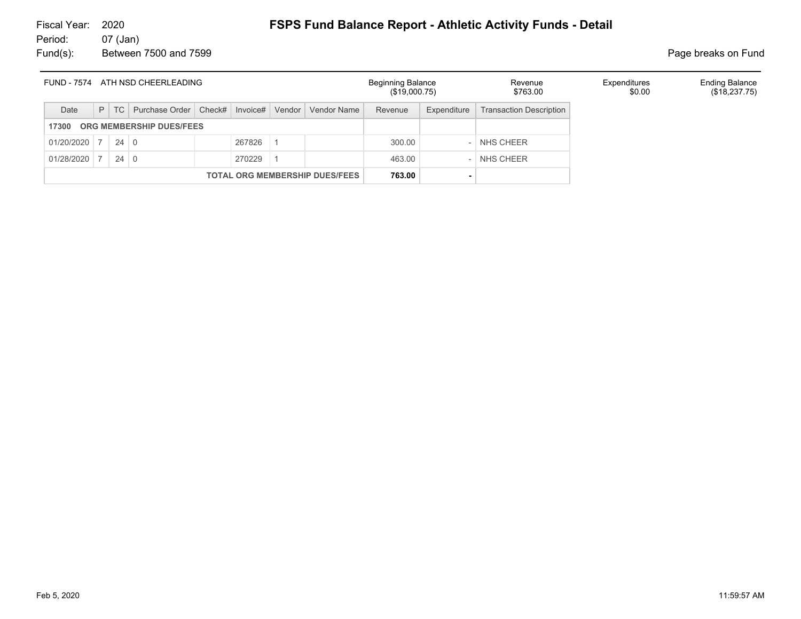# Fiscal Year: 2020 **FSPS Fund Balance Report - Athletic Activity Funds - Detail**<br>Period: 07 (Jan)

07 (Jan) Fund(s): Between 7500 and 7599 **Page breaks** on Fund

| ATH NSD CHEERLEADING<br>FUND - 7574 |                                       |             |                                    |  | <b>Beginning Balance</b><br>(\$19,000.75) |        | Revenue<br>\$763.00 | Expenditures<br>\$0.00 | <b>Ending Balance</b><br>(\$18,237.75) |                                |  |  |
|-------------------------------------|---------------------------------------|-------------|------------------------------------|--|-------------------------------------------|--------|---------------------|------------------------|----------------------------------------|--------------------------------|--|--|
| Date                                | P                                     | TC          | Purchase Order   Check#   Invoice# |  |                                           | Vendor | Vendor Name         | Revenue                | Expenditure                            | <b>Transaction Description</b> |  |  |
| ORG MEMBERSHIP DUES/FEES<br>17300   |                                       |             |                                    |  |                                           |        |                     |                        |                                        |                                |  |  |
| 01/20/2020                          |                                       | $24 \mid 0$ |                                    |  | 267826                                    |        |                     | 300.00                 |                                        | - NHS CHEER                    |  |  |
| 01/28/2020                          |                                       | $24 \mid 0$ |                                    |  | 270229                                    |        |                     | 463.00                 |                                        | - NHS CHEER                    |  |  |
|                                     | <b>TOTAL ORG MEMBERSHIP DUES/FEES</b> |             |                                    |  |                                           |        | 763.00              |                        |                                        |                                |  |  |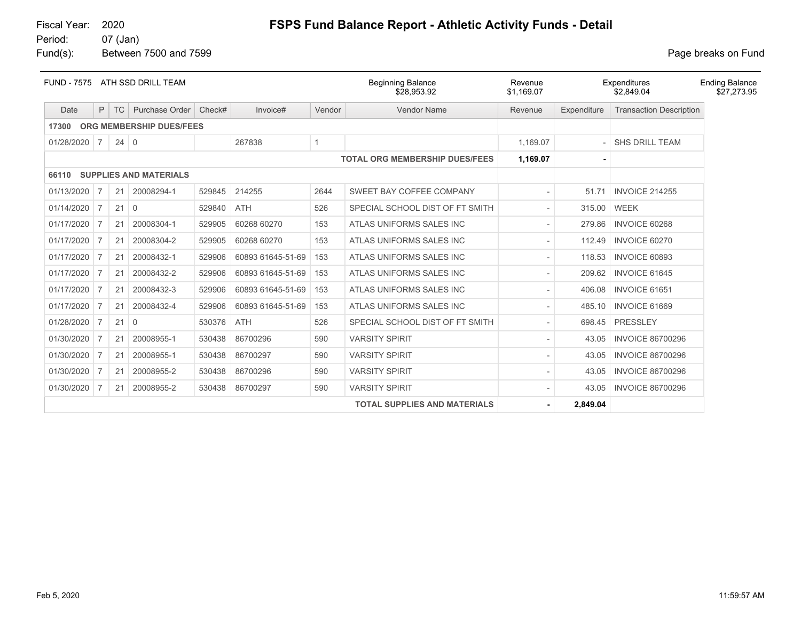#### 07 (Jan) Fund(s): Between 7500 and 7599 **Page breaks** on Fund

|            |                |             | FUND - 7575 ATH SSD DRILL TEAM |        |                   |                | <b>Beginning Balance</b><br>\$28,953.92 | Revenue<br>\$1,169.07 |             | Expenditures<br>\$2,849.04     | <b>Ending Balance</b><br>\$27,273.95 |
|------------|----------------|-------------|--------------------------------|--------|-------------------|----------------|-----------------------------------------|-----------------------|-------------|--------------------------------|--------------------------------------|
| Date       | P              | TC          | Purchase Order                 | Check# | Invoice#          | Vendor         | <b>Vendor Name</b>                      | Revenue               | Expenditure | <b>Transaction Description</b> |                                      |
| 17300      |                |             | ORG MEMBERSHIP DUES/FEES       |        |                   |                |                                         |                       |             |                                |                                      |
| 01/28/2020 | $\vert$ 7      | $24 \mid 0$ |                                |        | 267838            | $\overline{1}$ |                                         | 1.169.07              |             | <b>SHS DRILL TEAM</b>          |                                      |
|            |                |             |                                |        |                   |                | <b>TOTAL ORG MEMBERSHIP DUES/FEES</b>   | 1,169.07              |             |                                |                                      |
| 66110      |                |             | <b>SUPPLIES AND MATERIALS</b>  |        |                   |                |                                         |                       |             |                                |                                      |
| 01/13/2020 | $\overline{7}$ | 21          | 20008294-1                     | 529845 | 214255            | 2644           | SWEET BAY COFFEE COMPANY                |                       | 51.71       | <b>INVOICE 214255</b>          |                                      |
| 01/14/2020 | 7              | 21          | 0                              | 529840 | <b>ATH</b>        | 526            | SPECIAL SCHOOL DIST OF FT SMITH         |                       | 315.00      | WEEK                           |                                      |
| 01/17/2020 |                | 21          | 20008304-1                     | 529905 | 60268 60270       | 153            | ATLAS UNIFORMS SALES INC                |                       | 279.86      | <b>INVOICE 60268</b>           |                                      |
| 01/17/2020 | 7              | 21          | 20008304-2                     | 529905 | 60268 60270       | 153            | ATLAS UNIFORMS SALES INC                |                       | 112.49      | <b>INVOICE 60270</b>           |                                      |
| 01/17/2020 |                | 21          | 20008432-1                     | 529906 | 60893 61645-51-69 | 153            | ATLAS UNIFORMS SALES INC                |                       | 118.53      | <b>INVOICE 60893</b>           |                                      |
| 01/17/2020 | 7              | 21          | 20008432-2                     | 529906 | 60893 61645-51-69 | 153            | ATLAS UNIFORMS SALES INC                |                       | 209.62      | <b>INVOICE 61645</b>           |                                      |
| 01/17/2020 | 7              | 21          | 20008432-3                     | 529906 | 60893 61645-51-69 | 153            | ATLAS UNIFORMS SALES INC                |                       | 406.08      | <b>INVOICE 61651</b>           |                                      |
| 01/17/2020 |                | 21          | 20008432-4                     | 529906 | 60893 61645-51-69 | 153            | ATLAS UNIFORMS SALES INC                |                       | 485.10      | INVOICE 61669                  |                                      |
| 01/28/2020 | $\overline{7}$ | 21          | $\Omega$                       | 530376 | <b>ATH</b>        | 526            | SPECIAL SCHOOL DIST OF FT SMITH         |                       | 698.45      | PRESSLEY                       |                                      |
| 01/30/2020 |                | 21          | 20008955-1                     | 530438 | 86700296          | 590            | <b>VARSITY SPIRIT</b>                   |                       | 43.05       | <b>INVOICE 86700296</b>        |                                      |
| 01/30/2020 |                | 21          | 20008955-1                     | 530438 | 86700297          | 590            | <b>VARSITY SPIRIT</b>                   |                       | 43.05       | <b>INVOICE 86700296</b>        |                                      |
| 01/30/2020 | 7              | 21          | 20008955-2                     | 530438 | 86700296          | 590            | <b>VARSITY SPIRIT</b>                   |                       | 43.05       | <b>INVOICE 86700296</b>        |                                      |
| 01/30/2020 | 7              | 21          | 20008955-2                     | 530438 | 86700297          | 590            | <b>VARSITY SPIRIT</b>                   |                       | 43.05       | <b>INVOICE 86700296</b>        |                                      |
|            |                |             |                                |        |                   |                | <b>TOTAL SUPPLIES AND MATERIALS</b>     |                       | 2,849.04    |                                |                                      |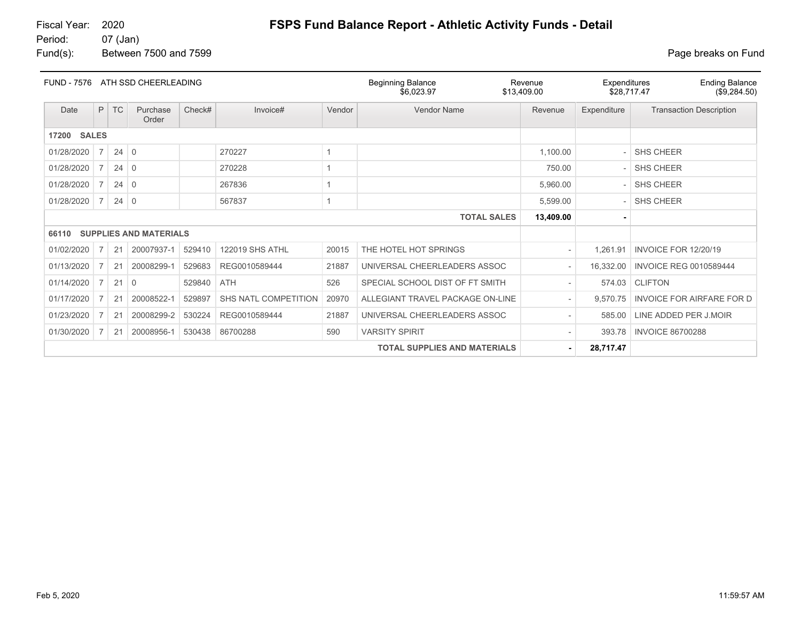07 (Jan) Fund(s): Between 7500 and 7599 **Page breaks** on Fund

| <b>FUND - 7576</b>    | ATH SSD CHEERLEADING                |             |                               |        |                        |        | <b>Beginning Balance</b><br>\$6,023.97 | Revenue<br>\$13,409.00 | Expenditures<br>\$28,717.47 | <b>Ending Balance</b><br>(\$9,284.50) |
|-----------------------|-------------------------------------|-------------|-------------------------------|--------|------------------------|--------|----------------------------------------|------------------------|-----------------------------|---------------------------------------|
| Date                  | P                                   | <b>TC</b>   | Purchase<br>Order             | Check# | Invoice#               | Vendor | Vendor Name                            | Revenue                | Expenditure                 | <b>Transaction Description</b>        |
| <b>SALES</b><br>17200 |                                     |             |                               |        |                        |        |                                        |                        |                             |                                       |
| 01/28/2020            | $\overline{7}$                      | $24 \mid 0$ |                               |        | 270227                 |        |                                        | 1,100.00               |                             | <b>SHS CHEER</b>                      |
| 01/28/2020            | $\overline{7}$                      | 24          | $\overline{0}$                |        | 270228                 |        |                                        | 750.00                 |                             | <b>SHS CHEER</b>                      |
| 01/28/2020            | $\overline{7}$                      | $24 \mid 0$ |                               |        | 267836                 |        |                                        | 5,960.00               |                             | <b>SHS CHEER</b>                      |
| 01/28/2020            | $7 \frac{1}{2}$                     | $24 \mid 0$ |                               |        | 567837                 |        |                                        | 5,599.00               |                             | <b>SHS CHEER</b>                      |
|                       |                                     |             |                               |        |                        |        | <b>TOTAL SALES</b>                     | 13,409.00              |                             |                                       |
| 66110                 |                                     |             | <b>SUPPLIES AND MATERIALS</b> |        |                        |        |                                        |                        |                             |                                       |
| 01/02/2020            | 7                                   | 21          | 20007937-1                    | 529410 | <b>122019 SHS ATHL</b> | 20015  | THE HOTEL HOT SPRINGS                  |                        | 1,261.91                    | <b>INVOICE FOR 12/20/19</b>           |
| 01/13/2020            | 7                                   | 21          | 20008299-1                    | 529683 | REG0010589444          | 21887  | UNIVERSAL CHEERLEADERS ASSOC           |                        | 16,332.00                   | <b>INVOICE REG 0010589444</b>         |
| 01/14/2020            | $\overline{7}$                      | 21          | $\overline{0}$                | 529840 | ATH                    | 526    | SPECIAL SCHOOL DIST OF FT SMITH        |                        | 574.03                      | <b>CLIFTON</b>                        |
| 01/17/2020            | 7                                   | 21          | 20008522-1                    | 529897 | SHS NATL COMPETITION   | 20970  | ALLEGIANT TRAVEL PACKAGE ON-LINE       |                        | 9.570.75                    | <b>INVOICE FOR AIRFARE FOR D</b>      |
| 01/23/2020            | $\overline{7}$                      | 21          | 20008299-2                    | 530224 | REG0010589444          | 21887  | UNIVERSAL CHEERLEADERS ASSOC           |                        | 585.00                      | LINE ADDED PER J.MOIR                 |
| 01/30/2020            | $\overline{7}$                      | 21          | 20008956-1                    | 530438 | 86700288               | 590    | <b>VARSITY SPIRIT</b>                  |                        | 393.78                      | <b>INVOICE 86700288</b>               |
|                       | <b>TOTAL SUPPLIES AND MATERIALS</b> |             |                               |        |                        |        |                                        |                        | 28,717.47                   |                                       |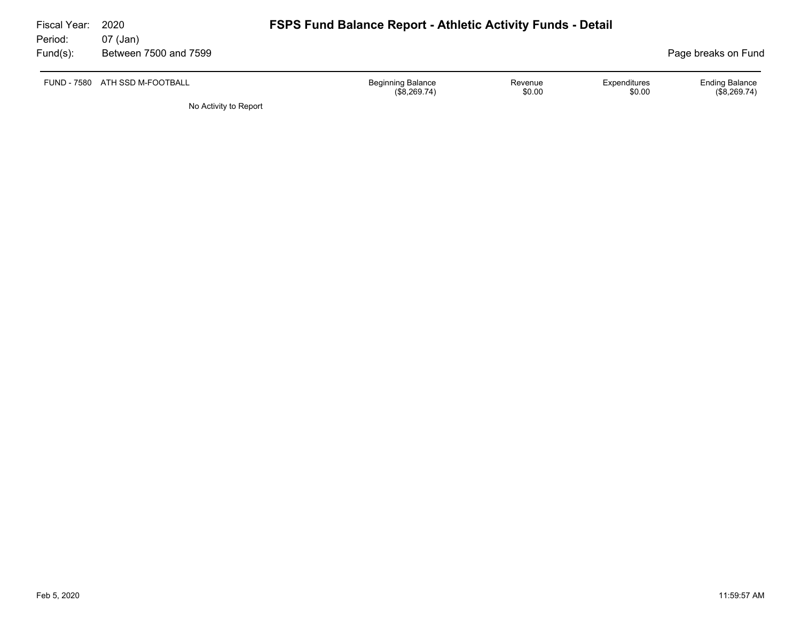| Fiscal Year:<br>Period: | 2020<br>07 (Jan)               | <b>FSPS Fund Balance Report - Athletic Activity Funds - Detail</b> |                   |                        |                                         |
|-------------------------|--------------------------------|--------------------------------------------------------------------|-------------------|------------------------|-----------------------------------------|
| Fund(s):                | Between 7500 and 7599          |                                                                    |                   |                        | Page breaks on Fund                     |
|                         | FUND - 7580 ATH SSD M-FOOTBALL | <b>Beginning Balance</b><br>(\$8,269.74)                           | Revenue<br>\$0.00 | Expenditures<br>\$0.00 | <b>Ending Balance</b><br>$(\$8,269.74)$ |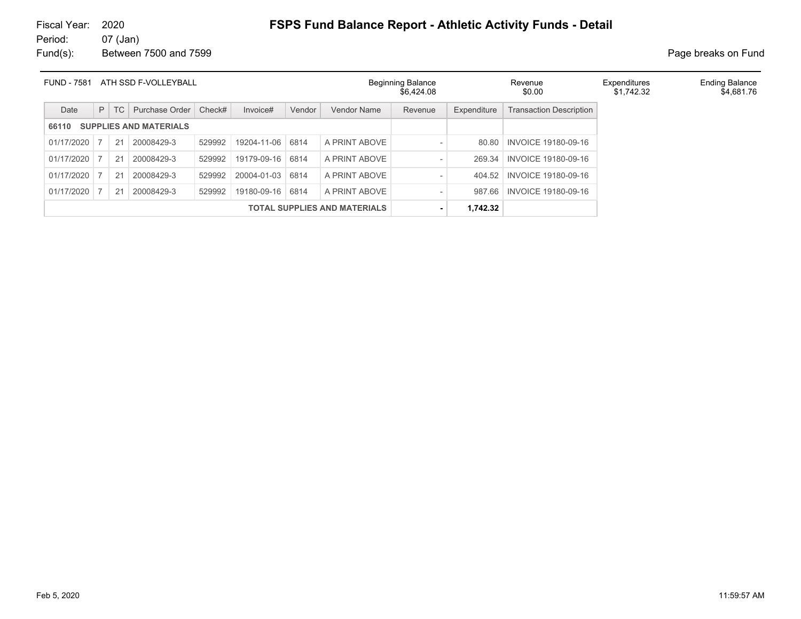# Fiscal Year: 2020 **FSPS Fund Balance Report - Athletic Activity Funds - Detail**<br>Period: 07 (Jan)

07 (Jan) Fund(s): Between 7500 and 7599 **Page breaks** on Fund

| <b>FUND - 7581</b><br>ATH SSD F-VOLLEYBALL |                                     |           |                |        |                  | <b>Beginning Balance</b><br>\$6,424.08 |               | Revenue<br>\$0.00        | Expenditures<br>\$1,742.32 | <b>Ending Balance</b><br>\$4,681.76 |  |  |
|--------------------------------------------|-------------------------------------|-----------|----------------|--------|------------------|----------------------------------------|---------------|--------------------------|----------------------------|-------------------------------------|--|--|
| Date                                       | P                                   | <b>TC</b> | Purchase Order | Check# | Invoice#         | Vendor                                 | Vendor Name   | Revenue                  | Expenditure                | <b>Transaction Description</b>      |  |  |
| <b>SUPPLIES AND MATERIALS</b><br>66110     |                                     |           |                |        |                  |                                        |               |                          |                            |                                     |  |  |
| 01/17/2020                                 |                                     | 21        | 20008429-3     | 529992 | 19204-11-06      | 6814                                   | A PRINT ABOVE | $\qquad \qquad$          | 80.80                      | <b>INVOICE 19180-09-16</b>          |  |  |
| 01/17/2020                                 |                                     | 21        | 20008429-3     | 529992 | 19179-09-16 6814 |                                        | A PRINT ABOVE | $\overline{\phantom{a}}$ | 269.34                     | <b>INVOICE 19180-09-16</b>          |  |  |
| 01/17/2020                                 |                                     | 21        | 20008429-3     | 529992 | 20004-01-03      | 6814                                   | A PRINT ABOVE | $\qquad \qquad$          | 404.52                     | INVOICE 19180-09-16                 |  |  |
| 01/17/2020                                 |                                     | 21        | 20008429-3     | 529992 | 19180-09-16 6814 |                                        | A PRINT ABOVE | $\overline{\phantom{0}}$ | 987.66                     | <b>INVOICE 19180-09-16</b>          |  |  |
|                                            | <b>TOTAL SUPPLIES AND MATERIALS</b> |           |                |        |                  |                                        |               |                          | 1,742.32                   |                                     |  |  |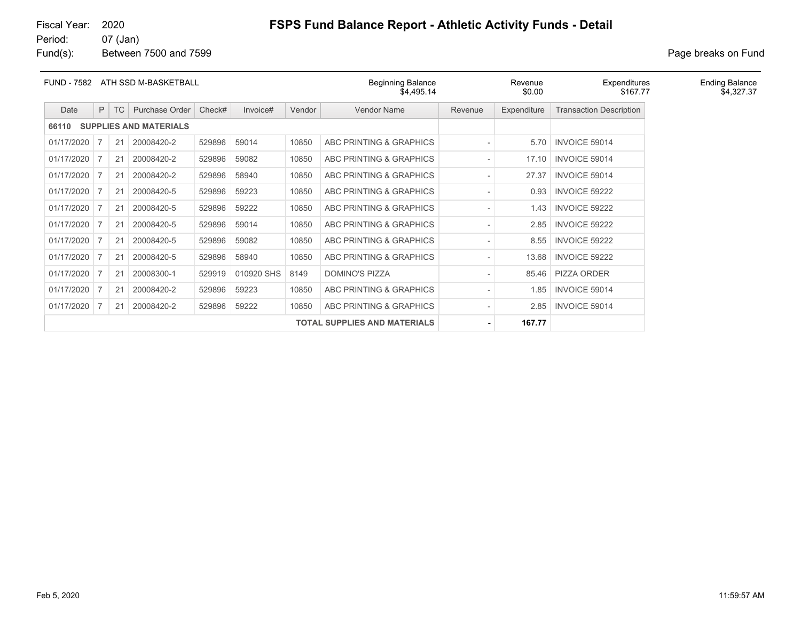#### 07 (Jan)

Fund(s): Between 7500 and 7599 **Page breaks** on Fund

| FUND - 7582 |                                     |    | ATH SSD M-BASKETBALL          |        |            |        | <b>Beginning Balance</b><br>\$4,495.14 |         | Revenue<br>\$0.00 | Expenditures<br>\$167.77       | <b>Ending Balance</b><br>\$4,327.37 |
|-------------|-------------------------------------|----|-------------------------------|--------|------------|--------|----------------------------------------|---------|-------------------|--------------------------------|-------------------------------------|
| Date        | P                                   | TC | Purchase Order                | Check# | Invoice#   | Vendor | <b>Vendor Name</b>                     | Revenue | Expenditure       | <b>Transaction Description</b> |                                     |
| 66110       |                                     |    | <b>SUPPLIES AND MATERIALS</b> |        |            |        |                                        |         |                   |                                |                                     |
| 01/17/2020  |                                     | 21 | 20008420-2                    | 529896 | 59014      | 10850  | ABC PRINTING & GRAPHICS                |         | 5.70              | INVOICE 59014                  |                                     |
| 01/17/2020  |                                     | 21 | 20008420-2                    | 529896 | 59082      | 10850  | ABC PRINTING & GRAPHICS                |         | 17.10             | <b>INVOICE 59014</b>           |                                     |
| 01/17/2020  |                                     | 21 | 20008420-2                    | 529896 | 58940      | 10850  | ABC PRINTING & GRAPHICS                |         | 27.37             | <b>INVOICE 59014</b>           |                                     |
| 01/17/2020  |                                     | 21 | 20008420-5                    | 529896 | 59223      | 10850  | ABC PRINTING & GRAPHICS                |         | 0.93              | <b>INVOICE 59222</b>           |                                     |
| 01/17/2020  |                                     | 21 | 20008420-5                    | 529896 | 59222      | 10850  | ABC PRINTING & GRAPHICS                |         | 1.43              | <b>INVOICE 59222</b>           |                                     |
| 01/17/2020  |                                     | 21 | 20008420-5                    | 529896 | 59014      | 10850  | ABC PRINTING & GRAPHICS                |         | 2.85              | INVOICE 59222                  |                                     |
| 01/17/2020  | -7                                  | 21 | 20008420-5                    | 529896 | 59082      | 10850  | ABC PRINTING & GRAPHICS                |         | 8.55              | INVOICE 59222                  |                                     |
| 01/17/2020  |                                     | 21 | 20008420-5                    | 529896 | 58940      | 10850  | ABC PRINTING & GRAPHICS                |         | 13.68             | INVOICE 59222                  |                                     |
| 01/17/2020  |                                     | 21 | 20008300-1                    | 529919 | 010920 SHS | 8149   | <b>DOMINO'S PIZZA</b>                  |         | 85.46             | <b>PIZZA ORDER</b>             |                                     |
| 01/17/2020  |                                     | 21 | 20008420-2                    | 529896 | 59223      | 10850  | ABC PRINTING & GRAPHICS                |         | 1.85              | <b>INVOICE 59014</b>           |                                     |
| 01/17/2020  |                                     | 21 | 20008420-2                    | 529896 | 59222      | 10850  | ABC PRINTING & GRAPHICS                |         | 2.85              | <b>INVOICE 59014</b>           |                                     |
|             | <b>TOTAL SUPPLIES AND MATERIALS</b> |    |                               |        |            |        |                                        |         | 167.77            |                                |                                     |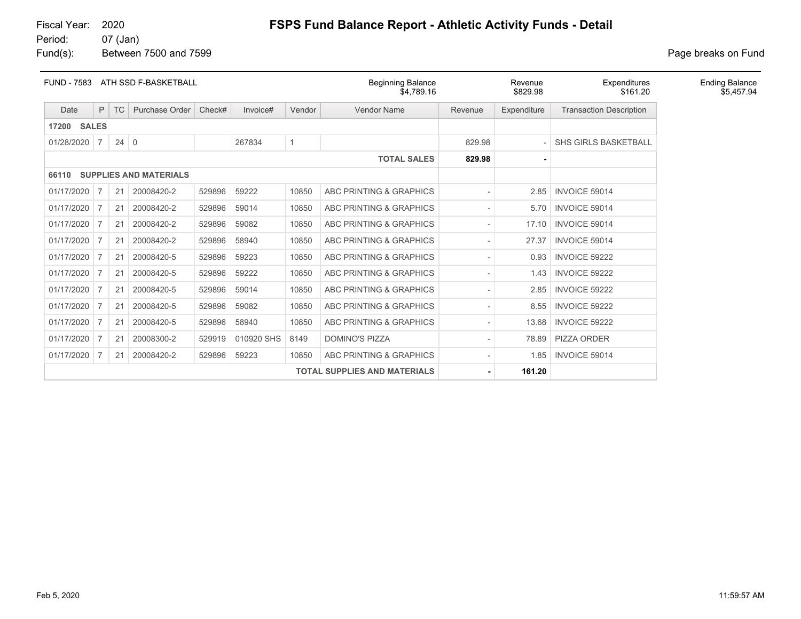07 (Jan)

# Fiscal Year: 2020 **FSPS Fund Balance Report - Athletic Activity Funds - Detail**<br>Period: 07 (Jan)

Fund(s): Between 7500 and 7599 **Page breaks** on Fund

| <b>FUND - 7583</b> |                                     |             | ATH SSD F-BASKETBALL |        |            |             | <b>Beginning Balance</b><br>\$4.789.16 |         | Revenue<br>\$829.98 | Expenditures<br>\$161.20       | <b>Ending Balance</b><br>\$5,457.94 |
|--------------------|-------------------------------------|-------------|----------------------|--------|------------|-------------|----------------------------------------|---------|---------------------|--------------------------------|-------------------------------------|
| Date               | P.                                  | TC          | Purchase Order       | Check# | Invoice#   | Vendor      | Vendor Name                            | Revenue | Expenditure         | <b>Transaction Description</b> |                                     |
| <b>17200 SALES</b> |                                     |             |                      |        |            |             |                                        |         |                     |                                |                                     |
| 01/28/2020         | $\overline{7}$                      | $24 \mid 0$ |                      |        | 267834     | $\mathbf 1$ |                                        | 829.98  |                     | <b>SHS GIRLS BASKETBALL</b>    |                                     |
|                    |                                     |             |                      |        |            |             | <b>TOTAL SALES</b>                     | 829.98  |                     |                                |                                     |
| 66110              | <b>SUPPLIES AND MATERIALS</b>       |             |                      |        |            |             |                                        |         |                     |                                |                                     |
| 01/17/2020         | 7                                   | 21          | 20008420-2           | 529896 | 59222      | 10850       | ABC PRINTING & GRAPHICS                |         | 2.85                | <b>INVOICE 59014</b>           |                                     |
| 01/17/2020         | $\overline{7}$                      | 21          | 20008420-2           | 529896 | 59014      | 10850       | ABC PRINTING & GRAPHICS                |         | 5.70                | INVOICE 59014                  |                                     |
| 01/17/2020         | $\overline{7}$                      | 21          | 20008420-2           | 529896 | 59082      | 10850       | ABC PRINTING & GRAPHICS                |         | 17.10               | INVOICE 59014                  |                                     |
| 01/17/2020         | $\overline{7}$                      | 21          | 20008420-2           | 529896 | 58940      | 10850       | ABC PRINTING & GRAPHICS                |         | 27.37               | INVOICE 59014                  |                                     |
| 01/17/2020         | 7                                   | 21          | 20008420-5           | 529896 | 59223      | 10850       | ABC PRINTING & GRAPHICS                |         | 0.93                | <b>INVOICE 59222</b>           |                                     |
| 01/17/2020         | 7                                   | 21          | 20008420-5           | 529896 | 59222      | 10850       | ABC PRINTING & GRAPHICS                |         | 1.43                | INVOICE 59222                  |                                     |
| 01/17/2020         | 7                                   | 21          | 20008420-5           | 529896 | 59014      | 10850       | ABC PRINTING & GRAPHICS                |         | 2.85                | INVOICE 59222                  |                                     |
| 01/17/2020         | 7                                   | 21          | 20008420-5           | 529896 | 59082      | 10850       | ABC PRINTING & GRAPHICS                |         | 8.55                | <b>INVOICE 59222</b>           |                                     |
| 01/17/2020         | 7                                   | 21          | 20008420-5           | 529896 | 58940      | 10850       | ABC PRINTING & GRAPHICS                |         | 13.68               | INVOICE 59222                  |                                     |
| 01/17/2020         | 7                                   | 21          | 20008300-2           | 529919 | 010920 SHS | 8149        | <b>DOMINO'S PIZZA</b>                  |         | 78.89               | <b>PIZZA ORDER</b>             |                                     |
| 01/17/2020         | 7                                   | 21          | 20008420-2           | 529896 | 59223      | 10850       | ABC PRINTING & GRAPHICS                |         | 1.85                | INVOICE 59014                  |                                     |
|                    | <b>TOTAL SUPPLIES AND MATERIALS</b> |             |                      |        |            |             |                                        | 161.20  |                     |                                |                                     |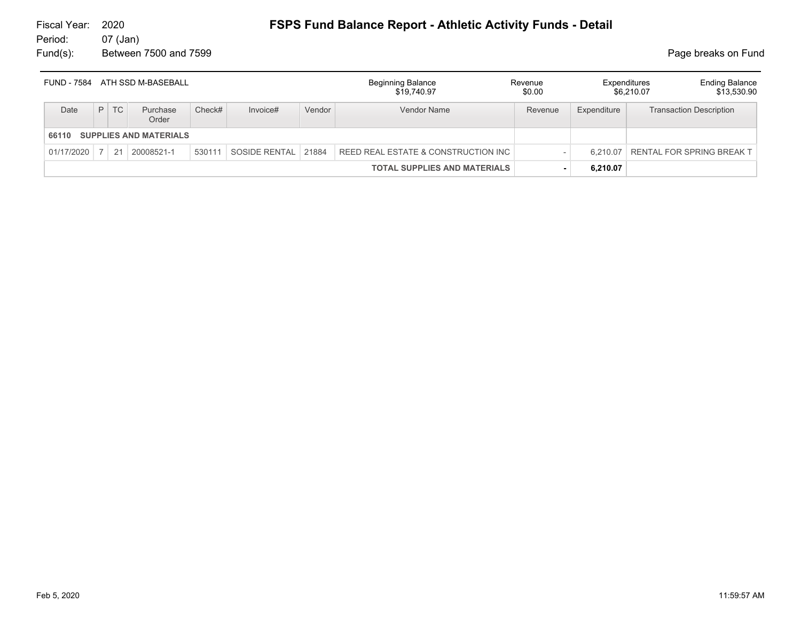#### 07 (Jan) Fund(s): Between 7500 and 7599 **Page breaks** on Fund

| FUND - 7584 |                                     |           | ATH SSD M-BASEBALL |        |                     |        | Beginning Balance<br>\$19,740.97    | Revenue<br>\$0.00 |             | <b>Ending Balance</b><br>Expenditures<br>\$13,530.90<br>\$6.210.07 |
|-------------|-------------------------------------|-----------|--------------------|--------|---------------------|--------|-------------------------------------|-------------------|-------------|--------------------------------------------------------------------|
| Date        | P                                   | <b>TC</b> | Purchase<br>Order  | Check# | Invoice#            | Vendor | Vendor Name                         | Revenue           | Expenditure | <b>Transaction Description</b>                                     |
| 66110       | <b>SUPPLIES AND MATERIALS</b>       |           |                    |        |                     |        |                                     |                   |             |                                                                    |
| 01/17/2020  | 7 <sup>1</sup>                      |           | 21 20008521-1      | 530111 | SOSIDE RENTAL 21884 |        | REED REAL ESTATE & CONSTRUCTION INC |                   | 6.210.07    | <b>RENTAL FOR SPRING BREAK T</b>                                   |
|             | <b>TOTAL SUPPLIES AND MATERIALS</b> |           |                    |        |                     |        | $\blacksquare$                      | 6,210.07          |             |                                                                    |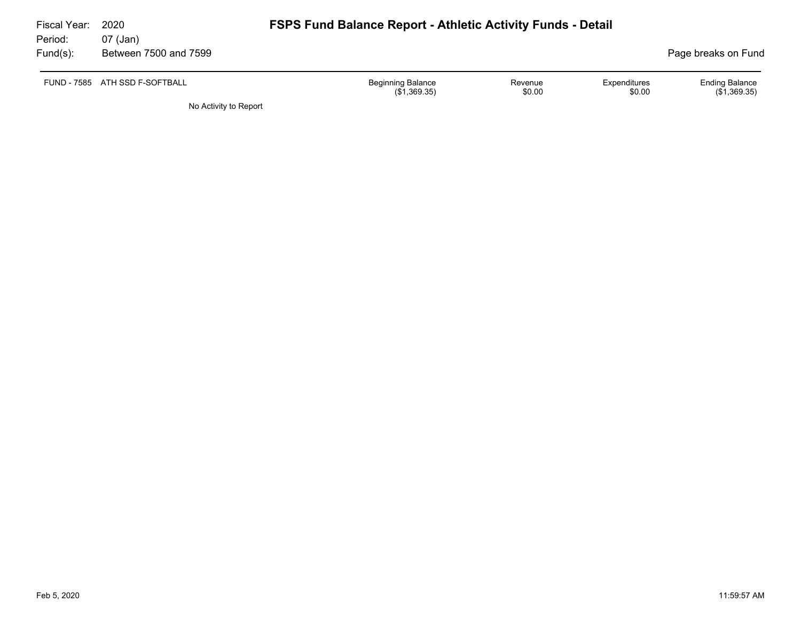| Fiscal Year:<br>Period: | 2020<br>07 (Jan)               | <b>FSPS Fund Balance Report - Athletic Activity Funds - Detail</b> |                   |                               |                                         |
|-------------------------|--------------------------------|--------------------------------------------------------------------|-------------------|-------------------------------|-----------------------------------------|
| $Fund(s)$ :             | Between 7500 and 7599          |                                                                    |                   |                               | Page breaks on Fund                     |
|                         | FUND - 7585 ATH SSD F-SOFTBALL | <b>Beginning Balance</b><br>(\$1,369.35)                           | Revenue<br>\$0.00 | <b>Expenditures</b><br>\$0.00 | <b>Ending Balance</b><br>$(\$1,369.35)$ |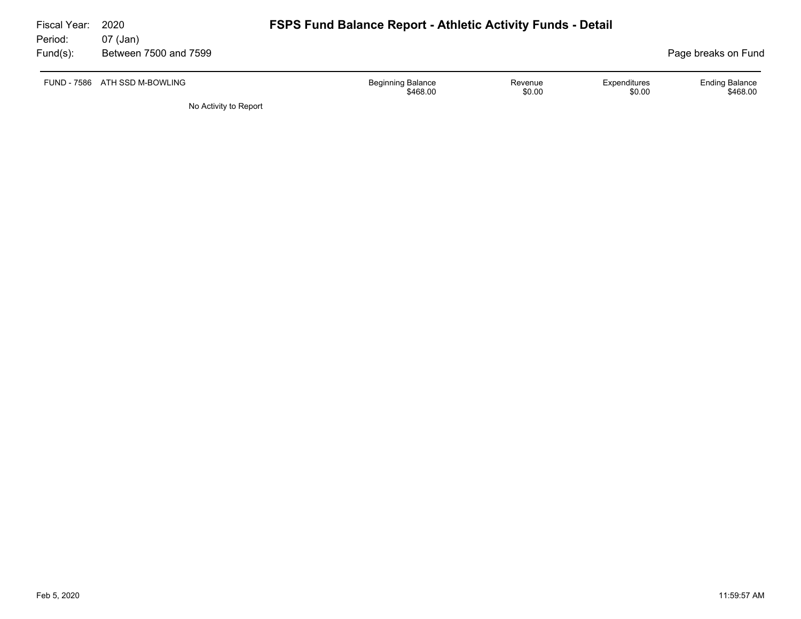| Fiscal Year:<br>Period: | 2020<br>07 (Jan)              | <b>FSPS Fund Balance Report - Athletic Activity Funds - Detail</b>                  |                                   |
|-------------------------|-------------------------------|-------------------------------------------------------------------------------------|-----------------------------------|
| $Fund(s)$ :             | Between 7500 and 7599         |                                                                                     | Page breaks on Fund               |
|                         | FUND - 7586 ATH SSD M-BOWLING | <b>Beginning Balance</b><br>Expenditures<br>Revenue<br>\$0.00<br>\$468.00<br>\$0.00 | <b>Ending Balance</b><br>\$468.00 |
|                         | No Activity to Report         |                                                                                     |                                   |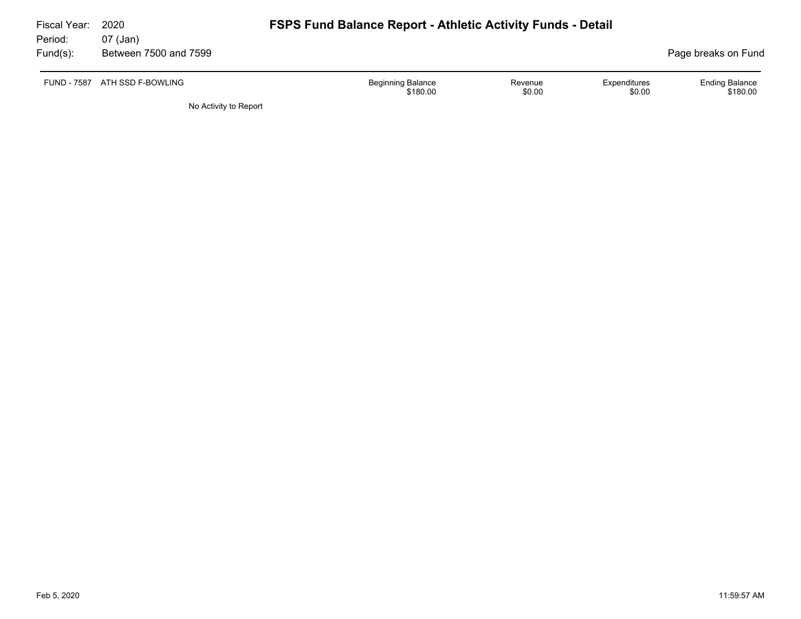| Fiscal Year:<br>Period: | 2020<br>07 (Jan)      | <b>FSPS Fund Balance Report - Athletic Activity Funds - Detail</b>                  |                                   |
|-------------------------|-----------------------|-------------------------------------------------------------------------------------|-----------------------------------|
| $Fund(s)$ :             | Between 7500 and 7599 |                                                                                     | Page breaks on Fund               |
| <b>FUND - 7587</b>      | ATH SSD F-BOWLING     | <b>Beginning Balance</b><br>Expenditures<br>Revenue<br>\$0.00<br>\$0.00<br>\$180.00 | <b>Ending Balance</b><br>\$180.00 |
|                         | No Activity to Report |                                                                                     |                                   |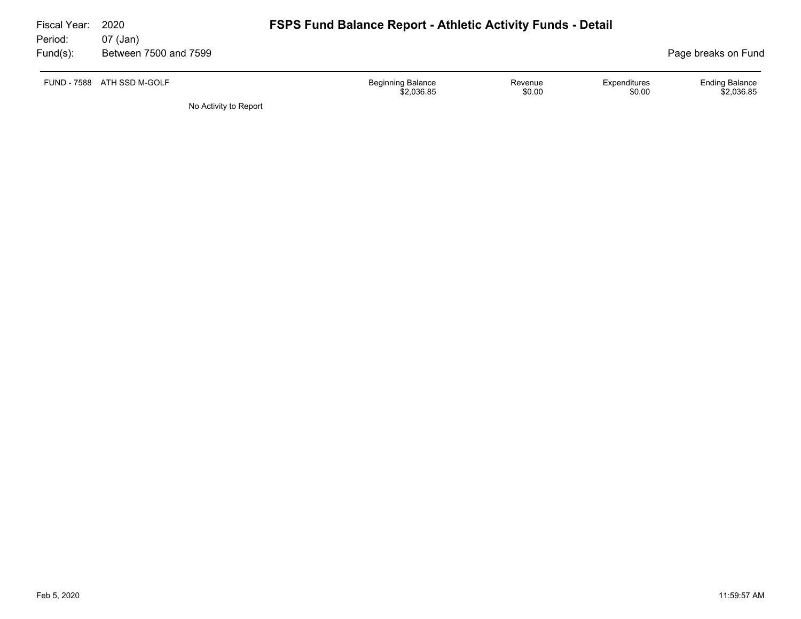| Fiscal Year:<br>Period: | 2020<br>07 (Jan)           | <b>FSPS Fund Balance Report - Athletic Activity Funds - Detail</b> |                   |                        |                                     |  |  |
|-------------------------|----------------------------|--------------------------------------------------------------------|-------------------|------------------------|-------------------------------------|--|--|
| $Fund(s)$ :             | Between 7500 and 7599      |                                                                    |                   |                        | Page breaks on Fund                 |  |  |
|                         | FUND - 7588 ATH SSD M-GOLF | <b>Beginning Balance</b><br>\$2.036.85                             | Revenue<br>\$0.00 | Expenditures<br>\$0.00 | <b>Ending Balance</b><br>\$2.036.85 |  |  |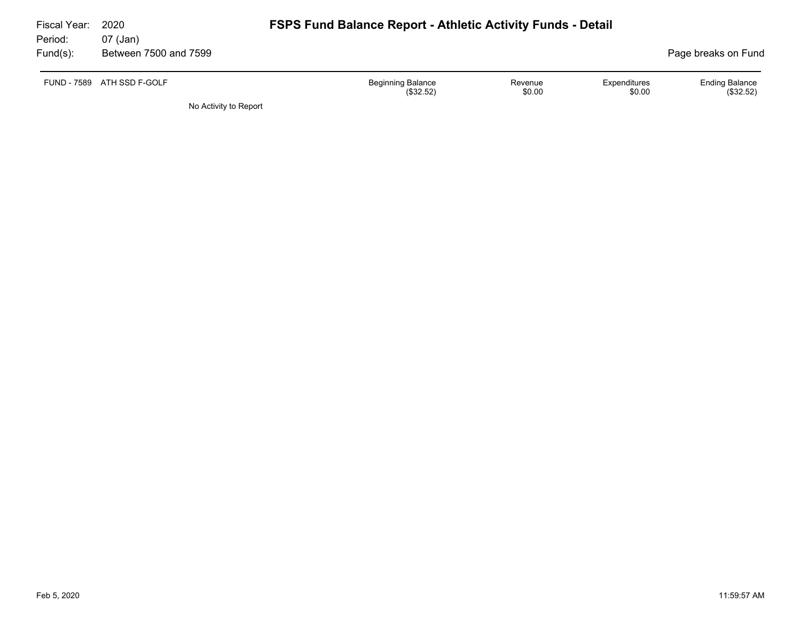| Fiscal Year:<br>Period: | 2020<br>07 (Jan)      | <b>FSPS Fund Balance Report - Athletic Activity Funds - Detail</b>                   |                                    |
|-------------------------|-----------------------|--------------------------------------------------------------------------------------|------------------------------------|
| $Fund(s)$ :             | Between 7500 and 7599 |                                                                                      | Page breaks on Fund                |
| FUND - 7589             | ATH SSD F-GOLF        | <b>Beginning Balance</b><br>Expenditures<br>Revenue<br>\$0.00<br>(\$32.52)<br>\$0.00 | <b>Ending Balance</b><br>(\$32.52) |
|                         | No Activity to Report |                                                                                      |                                    |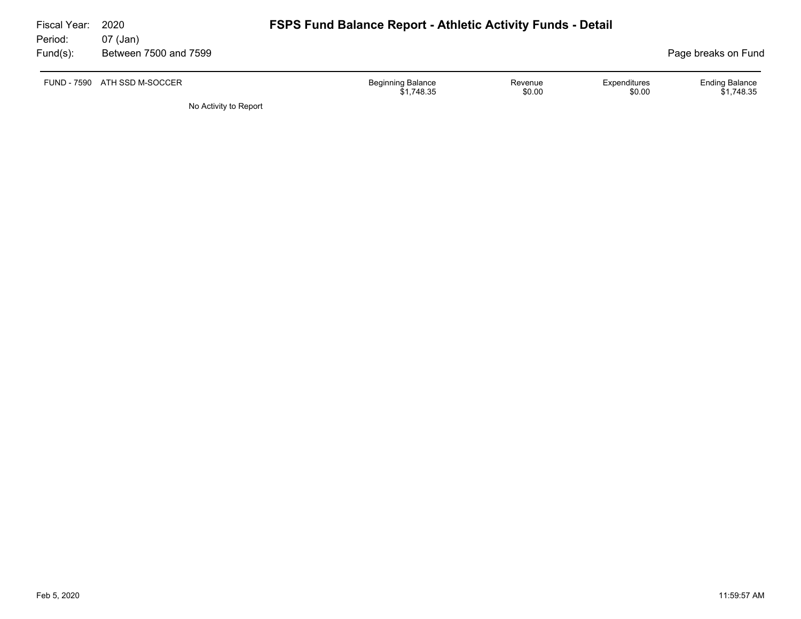| Fiscal Year:<br>Period: | 2020<br>07 (Jan)      | <b>FSPS Fund Balance Report - Athletic Activity Funds - Detail</b> |                   |                        |                                     |
|-------------------------|-----------------------|--------------------------------------------------------------------|-------------------|------------------------|-------------------------------------|
| Fund(s):                | Between 7500 and 7599 |                                                                    |                   |                        | Page breaks on Fund                 |
| FUND - 7590             | ATH SSD M-SOCCER      | <b>Beginning Balance</b><br>\$1.748.35                             | Revenue<br>\$0.00 | Expenditures<br>\$0.00 | <b>Ending Balance</b><br>\$1,748.35 |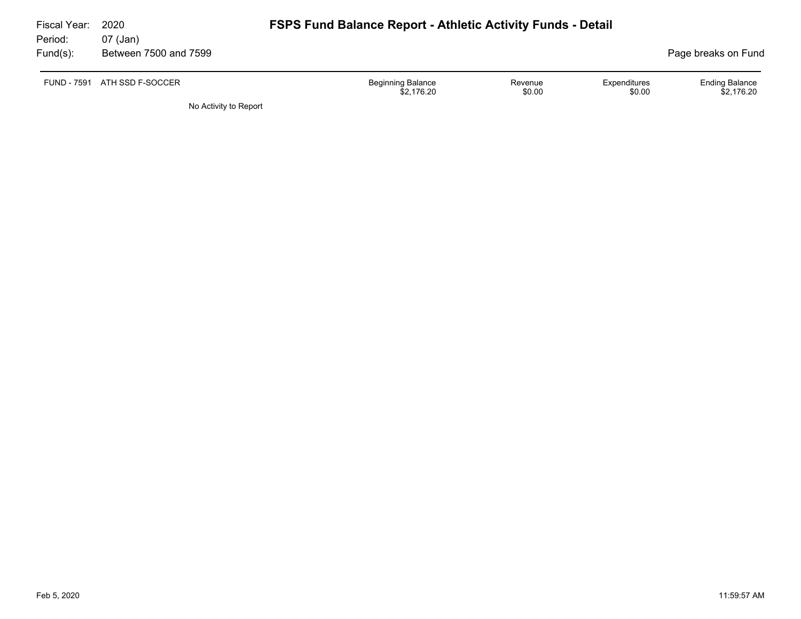| Fiscal Year:<br>Period: | 2020<br>07 (Jan)      | <b>FSPS Fund Balance Report - Athletic Activity Funds - Detail</b>             |                                     |
|-------------------------|-----------------------|--------------------------------------------------------------------------------|-------------------------------------|
| $Fund(s)$ :             | Between 7500 and 7599 |                                                                                | Page breaks on Fund                 |
| <b>FUND - 7591</b>      | ATH SSD F-SOCCER      | Beginning Balance<br>Expenditures<br>Revenue<br>\$0.00<br>\$2.176.20<br>\$0.00 | <b>Ending Balance</b><br>\$2.176.20 |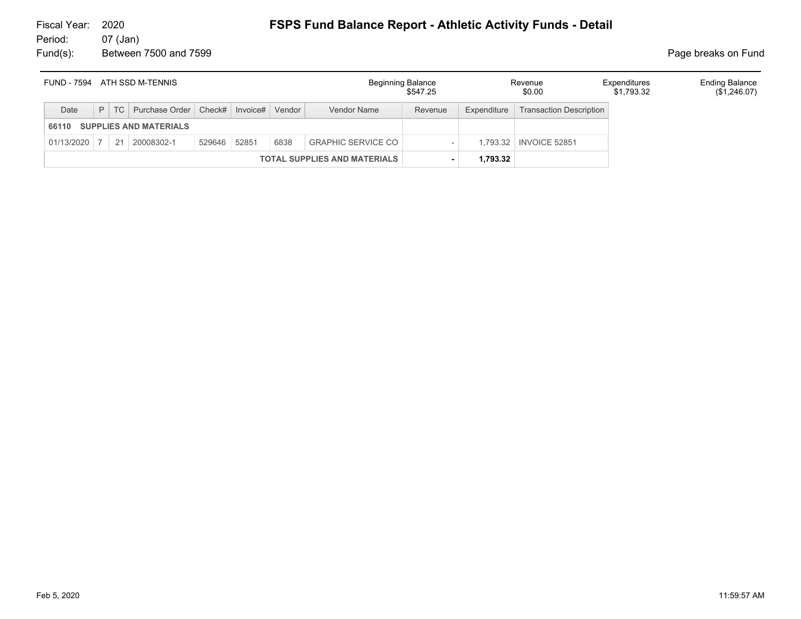#### 07 (Jan) Fund(s): Between 7500 and 7599 **Page breaks** on Fund

| ATH SSD M-TENNIS<br>FUND - 7594        |  |  |                                                      | Beginning Balance<br>\$547.25 |  | Revenue<br>\$0.00 | Expenditures<br>\$1,793.32 | <b>Ending Balance</b><br>$(\$1,246.07)$ |             |                                |  |  |
|----------------------------------------|--|--|------------------------------------------------------|-------------------------------|--|-------------------|----------------------------|-----------------------------------------|-------------|--------------------------------|--|--|
| Date                                   |  |  | P   TC   Purchase Order   Check#   Invoice#   Vendor |                               |  |                   | Vendor Name                | Revenue                                 | Expenditure | <b>Transaction Description</b> |  |  |
| <b>SUPPLIES AND MATERIALS</b><br>66110 |  |  |                                                      |                               |  |                   |                            |                                         |             |                                |  |  |
| $01/13/2020$ 7                         |  |  | 21 20008302-1                                        | 529646 52851                  |  | 6838              | <b>GRAPHIC SERVICE CO</b>  |                                         |             | 1.793.32   INVOICE 52851       |  |  |
| <b>TOTAL SUPPLIES AND MATERIALS</b>    |  |  |                                                      |                               |  | 1,793.32          |                            |                                         |             |                                |  |  |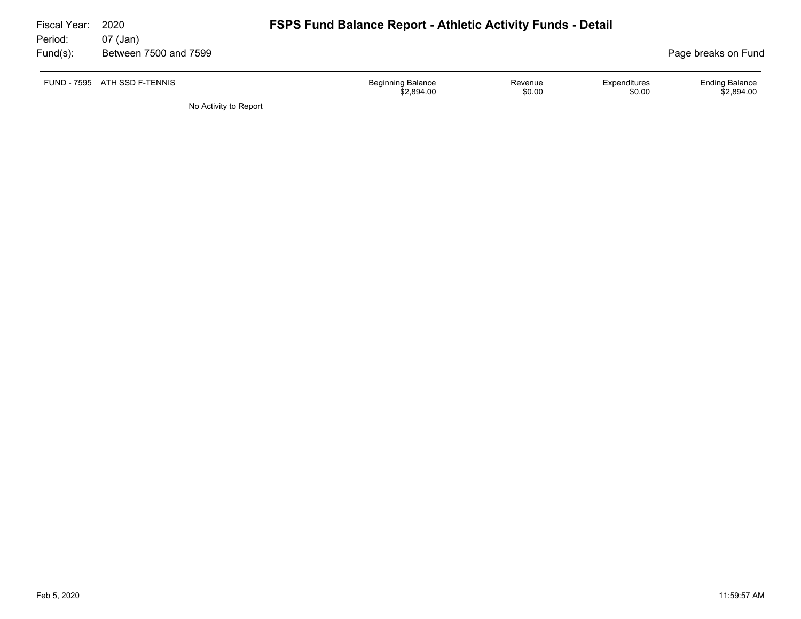| Fiscal Year:<br>Period: | 2020<br>07 (Jan)             | <b>FSPS Fund Balance Report - Athletic Activity Funds - Detail</b> |                   |                        |                                     |
|-------------------------|------------------------------|--------------------------------------------------------------------|-------------------|------------------------|-------------------------------------|
| Fund(s):                | Between 7500 and 7599        |                                                                    |                   |                        | Page breaks on Fund                 |
|                         | FUND - 7595 ATH SSD F-TENNIS | <b>Beginning Balance</b><br>\$2,894.00                             | Revenue<br>\$0.00 | Expenditures<br>\$0.00 | <b>Ending Balance</b><br>\$2,894.00 |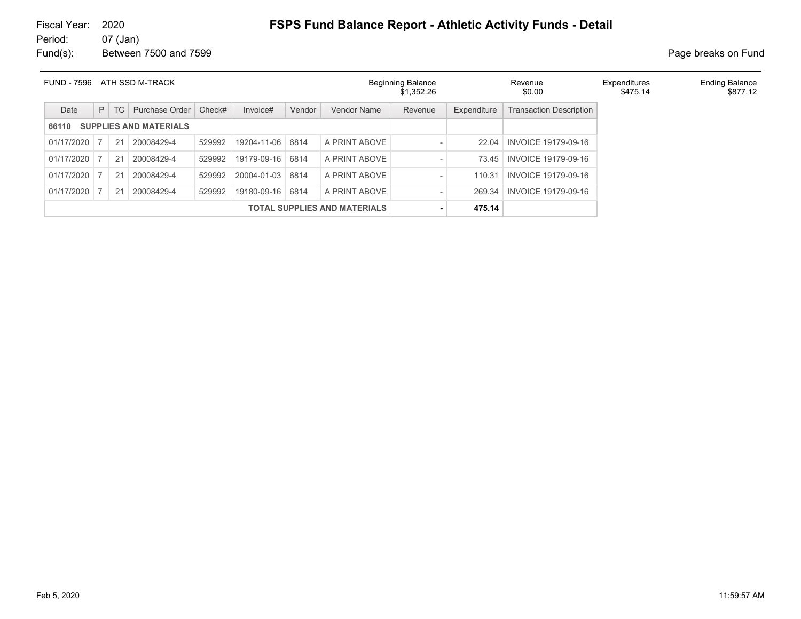# Fiscal Year: 2020 **FSPS Fund Balance Report - Athletic Activity Funds - Detail**<br>Period: 07 (Jan)

07 (Jan) Fund(s): Between 7500 and 7599 **Page breaks** on Fund

| <b>FUND - 7596</b>                     |                                     |     | ATH SSD M-TRACK |        |             |        |                    | <b>Beginning Balance</b><br>\$1.352.26 |             | Revenue<br>\$0.00              | Expenditures<br>\$475.14 | <b>Ending Balance</b><br>\$877.12 |
|----------------------------------------|-------------------------------------|-----|-----------------|--------|-------------|--------|--------------------|----------------------------------------|-------------|--------------------------------|--------------------------|-----------------------------------|
| Date                                   | P                                   | TC. | Purchase Order  | Check# | Invoice#    | Vendor | <b>Vendor Name</b> | Revenue                                | Expenditure | <b>Transaction Description</b> |                          |                                   |
| <b>SUPPLIES AND MATERIALS</b><br>66110 |                                     |     |                 |        |             |        |                    |                                        |             |                                |                          |                                   |
| 01/17/2020                             |                                     | 21  | 20008429-4      | 529992 | 19204-11-06 | 6814   | A PRINT ABOVE      | $\overline{\phantom{a}}$               | 22.04       | INVOICE 19179-09-16            |                          |                                   |
| 01/17/2020                             |                                     | 21  | 20008429-4      | 529992 | 19179-09-16 | 6814   | A PRINT ABOVE      | $\qquad \qquad$                        | 73.45       | INVOICE 19179-09-16            |                          |                                   |
| 01/17/2020                             |                                     | 21  | 20008429-4      | 529992 | 20004-01-03 | 6814   | A PRINT ABOVE      | $\qquad \qquad$                        | 110.31      | INVOICE 19179-09-16            |                          |                                   |
| 01/17/2020                             |                                     | 21  | 20008429-4      | 529992 | 19180-09-16 | 6814   | A PRINT ABOVE      | $\overline{\phantom{a}}$               | 269.34      | INVOICE 19179-09-16            |                          |                                   |
|                                        | <b>TOTAL SUPPLIES AND MATERIALS</b> |     |                 |        |             | ٠      | 475.14             |                                        |             |                                |                          |                                   |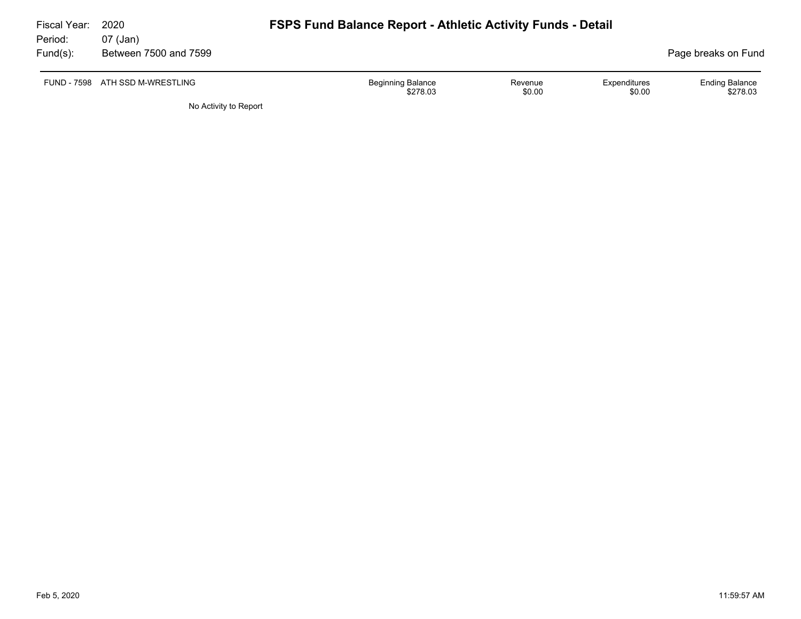| Fiscal Year:<br>Period: | 2020<br>07 (Jan)                | <b>FSPS Fund Balance Report - Athletic Activity Funds - Detail</b> |                   |                        |                                   |
|-------------------------|---------------------------------|--------------------------------------------------------------------|-------------------|------------------------|-----------------------------------|
| Fund(s):                | Between 7500 and 7599           |                                                                    |                   |                        | Page breaks on Fund               |
|                         | FUND - 7598 ATH SSD M-WRESTLING | <b>Beginning Balance</b><br>\$278.03                               | Revenue<br>\$0.00 | Expenditures<br>\$0.00 | <b>Ending Balance</b><br>\$278.03 |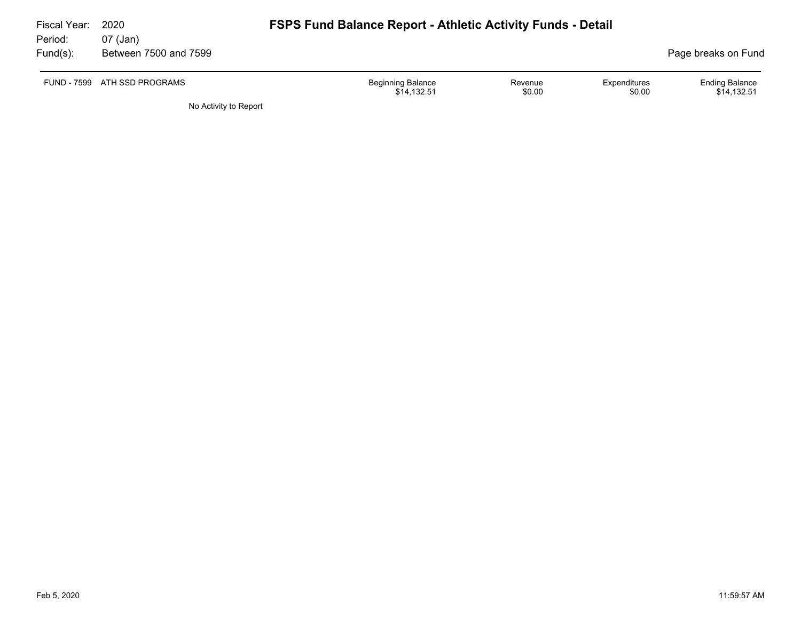| Fiscal Year:<br>Period: | 2020<br>07 (Jan)             | <b>FSPS Fund Balance Report - Athletic Activity Funds - Detail</b> |                   |                        |                                      |
|-------------------------|------------------------------|--------------------------------------------------------------------|-------------------|------------------------|--------------------------------------|
| Fund(s):                | Between 7500 and 7599        |                                                                    |                   |                        | Page breaks on Fund                  |
|                         | FUND - 7599 ATH SSD PROGRAMS | <b>Beginning Balance</b><br>\$14,132.51                            | Revenue<br>\$0.00 | Expenditures<br>\$0.00 | <b>Ending Balance</b><br>\$14,132.51 |